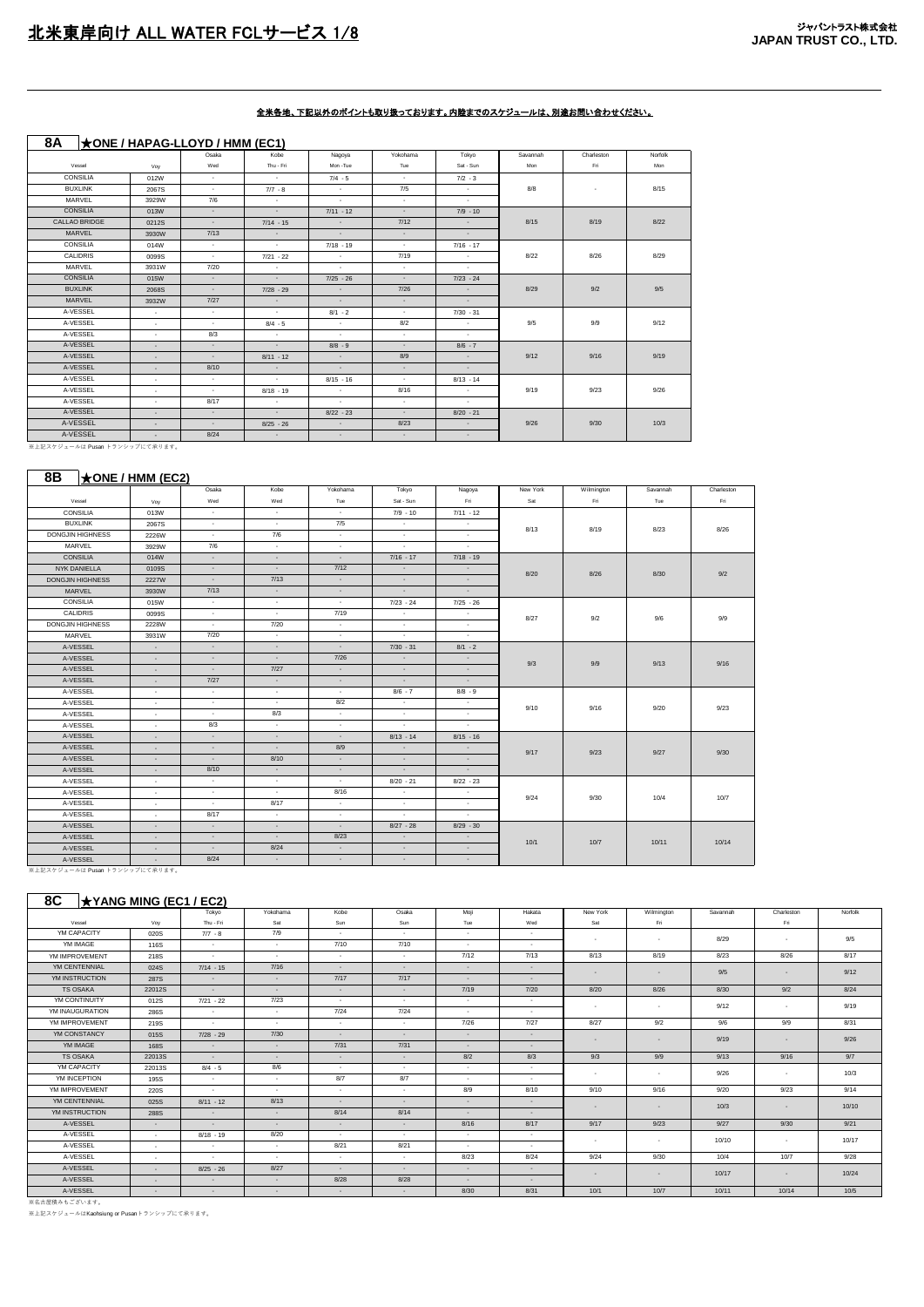| 8A              |                          | $\star$ ONE / HAPAG-LLOYD / HMM (EC1) |             |             |                          |                |          |            |         |
|-----------------|--------------------------|---------------------------------------|-------------|-------------|--------------------------|----------------|----------|------------|---------|
|                 |                          | Osaka                                 | Kobe        | Nagoya      | Yokohama                 | Tokyo          | Savannah | Charleston | Norfolk |
| Vessel          | Voy                      | Wed                                   | Thu - Fri   | Mon -Tue    | Tue                      | Sat - Sun      | Mon      | Fri        | Mon     |
| CONSILIA        | 012W                     | $\sim$                                | $\sim$      | $7/4 - 5$   | $\sim$                   | $7/2 - 3$      |          |            |         |
| <b>BUXLINK</b>  | 2067S                    | $\sim$                                | $7/7 - 8$   | $\sim$      | 7/5                      | <b>Section</b> | 8/8      | $\sim$     | 8/15    |
| MARVEL          | 3929W                    | 7/6                                   | $\sim$      | $\sim$      | $\sim$                   | $\sim$         |          |            |         |
| <b>CONSILIA</b> | 013W                     | $\sim$                                | $\sim$      | $7/11 - 12$ | $\sim$                   | $7/9 - 10$     |          |            |         |
| CALLAO BRIDGE   | 0212S                    | $\sim$                                | $7/14 - 15$ | $\sim$      | 7/12                     | $\sim$         | 8/15     | 8/19       | 8/22    |
| MARVEL          | 3930W                    | 7/13                                  | $\sim$      | $\sim$      | $\sim$                   | $\sim$         |          |            |         |
| CONSILIA        | 014W                     | $\sim$                                | $\sim$      | $7/18 - 19$ | $\sim$                   | $7/16 - 17$    |          |            |         |
| CALIDRIS        | 0099S                    | $\sim$                                | $7/21 - 22$ | $\sim$      | 7/19                     | $\sim$         | 8/22     | 8/26       | 8/29    |
| MARVEL          | 3931W                    | 7/20                                  | $\sim$      | $\sim$      | $\sim$                   | $\sim$         |          |            |         |
| <b>CONSILIA</b> | 015W                     | $\sim$                                | $\sim$      | $7/25 - 26$ | $\sim$                   | $7/23 - 24$    |          |            |         |
| <b>BUXLINK</b>  | 2068S                    | $\sim$                                | $7/28 - 29$ | $\sim$      | 7/26                     | $\sim$         | 8/29     | 9/2        | 9/5     |
| MARVEL          | 3932W                    | 7/27                                  | $\sim$      | $\sim$      | $\sim$                   | $\sim$         |          |            |         |
| A-VESSEL        | $\sim$                   | $\sim$                                | $\sim$      | $8/1 - 2$   | $\sim$                   | $7/30 - 31$    |          |            |         |
| A-VESSEL        | $\sim$                   | $\sim$                                | $8/4 - 5$   | $\sim$      | 8/2                      | $\sim$         | 9/5      | 9/9        | 9/12    |
| A-VESSEL        | $\sim$                   | 8/3                                   | $\sim$      | $\sim$      | $\overline{\phantom{a}}$ | $\sim$         |          |            |         |
| A-VESSEL        | $\sim$                   | $\sim$                                | $\sim$      | $8/8 - 9$   | $\sim$                   | $8/6 - 7$      |          |            |         |
| A-VESSEL        | $\sim$                   | $\sim$                                | $8/11 - 12$ | $\sim$      | 8/9                      | $\sim$         | 9/12     | 9/16       | 9/19    |
| A-VESSEL        | $\sim$                   | 8/10                                  | $\sim$      | $\sim$      | $\sim$                   | $\sim$         |          |            |         |
| A-VESSEL        | $\sim$                   | $\sim$                                | $\sim$      | $8/15 - 16$ | $\sim$                   | $8/13 - 14$    |          |            |         |
| A-VESSEL        | $\sim$                   | $\sim$                                | $8/18 - 19$ | $\sim$      | 8/16                     | $\sim$         | 9/19     | 9/23       | 9/26    |
| A-VESSEL        | $\sim$                   | 8/17                                  | $\sim$      | $\sim$      | $\sim$                   | $\sim$         |          |            |         |
| A-VESSEL        | $\sim$                   | $\sim$                                | $\sim$      | $8/22 - 23$ | $\sim$                   | $8/20 - 21$    |          |            |         |
| A-VESSEL        | $\overline{\phantom{a}}$ | $\sim$                                | $8/25 - 26$ | $\sim$      | 8/23                     | $\sim$         | 9/26     | 9/30       | 10/3    |
| A-VESSEL        | $\overline{\phantom{a}}$ | 8/24                                  | $\sim$      | $\sim$      | $\sim$                   | $\sim$         |          |            |         |

- A-VESSEL - A-VESSEL<br>※上記スケジュールは Pusan トランシップにて承ります。

### **8B** ★**ONE** / HMM (EC2)

|                                |              | Osaka  | Kobe   | Yokohama | Tokyo       | Nagoya      | New York | Wilmington | Savannah | Charleston |
|--------------------------------|--------------|--------|--------|----------|-------------|-------------|----------|------------|----------|------------|
| Vessel                         | Voy          | Wed    | Wed    | Tue      | Sat - Sun   | Fri         | Sat      | Fri        | Tue      | Fri        |
| CONSILIA                       | 013W         | $\sim$ | ٠      | $\sim$   | $7/9 - 10$  | $7/11 - 12$ |          |            |          |            |
| <b>BUXLINK</b>                 | 2067S        | $\sim$ | $\sim$ | 7/5      | $\sim$      | $\sim$      | 8/13     | 8/19       | 8/23     | 8/26       |
| <b>DONGJIN HIGHNESS</b>        | 2226W        | $\sim$ | 7/6    | $\sim$   | $\sim$      | $\sim$      |          |            |          |            |
| MARVEL                         | 3929W        | 7/6    | $\sim$ | $\sim$   | $\sim$      | $\sim$      |          |            |          |            |
| <b>CONSILIA</b>                | 014W         | $\sim$ | $\sim$ | $\sim$   | $7/16 - 17$ | $7/18 - 19$ |          |            |          |            |
| NYK DANIELLA                   | 0109S        | $\sim$ | $\sim$ | 7/12     | $\sim$      | $\sim$      | 8/20     | 8/26       | 8/30     | 9/2        |
| <b>DONGJIN HIGHNESS</b>        | 2227W        | $\sim$ | 7/13   | $\sim$   | $\sim$      | $\sim$      |          |            |          |            |
| MARVEL                         | 3930W        | 7/13   | $\sim$ | $\sim$   | $\sim$      | $\sim$      |          |            |          |            |
| <b>CONSILIA</b>                | 015W         | $\sim$ | $\sim$ | $\sim$   | $7/23 - 24$ | $7/25 - 26$ |          |            |          |            |
| CALIDRIS                       | 0099S        | $\sim$ | $\sim$ | 7/19     | $\sim$      | $\sim$      | 8/27     | 9/2        | 9/6      | 9/9        |
| DONGJIN HIGHNESS               | 2228W        | $\sim$ | 7/20   | $\sim$   | $\sim$      | $\sim$      |          |            |          |            |
| MARVEL                         | 3931W        | 7/20   | $\sim$ | $\sim$   | $\sim$      | $\sim$      |          |            |          |            |
| A-VESSEL                       | $\sim$       | $\sim$ | $\sim$ | $\sim$   | $7/30 - 31$ | $8/1 - 2$   |          |            |          |            |
| A-VESSEL                       | $\sim$       | $\sim$ | $\sim$ | 7/26     | $\sim$      | $\sim$      | 9/3      | 9/9        | 9/13     | 9/16       |
| A-VESSEL                       | $\sim$       | $\sim$ | 7/27   | $\sim$   | $\sim$      | $\sim$      |          |            |          |            |
| A-VESSEL                       | $\sim$       | 7/27   | $\sim$ | $\sim$   | $\sim$      | $\sim$      |          |            |          |            |
| A-VESSEL                       | $\sim$       | $\sim$ | $\sim$ | $\sim$   | $8/6 - 7$   | $8/8 - 9$   |          |            |          |            |
| A-VESSEL                       | $\sim$       | $\sim$ | $\sim$ | 8/2      | $\sim$      | $\sim$      | 9/10     | 9/16       | 9/20     | 9/23       |
| A-VESSEL                       | $\sim$       | $\sim$ | 8/3    | $\sim$   | $\sim$      | $\sim$      |          |            |          |            |
| A-VESSEL                       | $\sim$       | 8/3    | $\sim$ | $\sim$   | $\sim$      | $\sim$      |          |            |          |            |
| A-VESSEL                       | $\sim$       | $\sim$ | $\sim$ | $\sim$   | $8/13 - 14$ | $8/15 - 16$ |          |            |          |            |
| A-VESSEL                       | $\sim$       | $\sim$ | $\sim$ | 8/9      | $\sim$      | $\sim$      | 9/17     | 9/23       | 9/27     | 9/30       |
| A-VESSEL                       | $\sim$       | $\sim$ | 8/10   | $\sim$   | $\sim$      | $\sim$      |          |            |          |            |
| A-VESSEL                       | $\sim$       | 8/10   | $\sim$ | $\sim$   | $\sim$      | $\sim$      |          |            |          |            |
| A-VESSEL                       | $\sim$       | $\sim$ | $\sim$ | $\sim$   | $8/20 - 21$ | $8/22 - 23$ |          |            |          |            |
| A-VESSEL                       | $\sim$       | $\sim$ | $\sim$ | 8/16     | $\sim$      | $\sim$      | 9/24     | 9/30       | 10/4     | 10/7       |
| A-VESSEL                       | $\sim$       | $\sim$ | 8/17   | $\sim$   | $\sim$      | $\sim$      |          |            |          |            |
| A-VESSEL                       | $\mathbf{r}$ | 8/17   | $\sim$ | $\sim$   | $\sim$      | $\sim$      |          |            |          |            |
| A-VESSEL                       | $\sim$       | $\sim$ | $\sim$ | $\sim$   | $8/27 - 28$ | $8/29 - 30$ |          |            |          |            |
| A-VESSEL                       | $\sim$       | $\sim$ | $\sim$ | 8/23     | $\sim$      | $\sim$      | 10/1     | 10/7       | 10/11    | 10/14      |
| A-VESSEL                       | $\sim$       | $\sim$ | 8/24   | $\sim$   | $\sim$      | $\sim$      |          |            |          |            |
| A-VESSEL                       | $\sim$       | 8/24   | $\sim$ | $\sim$   | $\sim$      | $\sim$      |          |            |          |            |
| ※上記スケジュールは Pusan トランシップにて承ります。 |              |        |        |          |             |             |          |            |          |            |

#### **8C** ★**YANG MING (EC1 / EC2)**

|                 |             | Tokyo          | Yokohama | Kobe        | Osaka                    | Moji     | Hakata | New York       | Wilmington               | Savannah | Charleston   | Norfolk |
|-----------------|-------------|----------------|----------|-------------|--------------------------|----------|--------|----------------|--------------------------|----------|--------------|---------|
| Vessel          | Voy         | Thu - Fri      | Sat      | Sun         | Sun                      | Tue      | Wed    | Sat            | Fri                      |          | Fri          |         |
| YM CAPACITY     | 020S        | $7/7 - 8$      | 7/9      | <b>1979</b> | . .                      | <b>A</b> | $\sim$ | $\sim$         | $\mathbf{r}$             | 8/29     | $\mathbf{r}$ | 9/5     |
| YM IMAGE        | 116S        | <b>Service</b> | . .      | 7/10        | 7/10                     | <b>A</b> | $\sim$ |                |                          |          |              |         |
| YM IMPROVEMENT  | 218S        | $\sim$         | $\sim$   | $\sim$      | ٠                        | 7/12     | 7/13   | 8/13           | 8/19                     | 8/23     | 8/26         | 8/17    |
| YM CENTENNIAL   | 024S        | $7/14 - 15$    | 7/16     | $\sim$      | $\sim$                   | $\sim$   | $\sim$ | $\overline{a}$ | $\overline{a}$           | 9/5      | $\sim$       | 9/12    |
| YM INSTRUCTION  | 287S        | $\sim 10^{-1}$ | $\sim$   | 7/17        | 7/17                     | $\sim$   | $\sim$ |                |                          |          |              |         |
| <b>TS OSAKA</b> | 22012S      | $\sim$         | $\sim$   | $\sim$      | $\sim$                   | 7/19     | 7/20   | 8/20           | 8/26                     | 8/30     | 9/2          | 8/24    |
| YM CONTINUITY   | 012S        | $7/21 - 22$    | 7/23     | $\sim$      | $\sim$                   | $\sim$   | $\sim$ | $\sim$         | $\overline{\phantom{a}}$ | 9/12     | $\mathbf{r}$ | 9/19    |
| YM INAUGURATION | 286S        | <b>Service</b> | $\sim$   | 7/24        | 7/24                     | $\sim$   | $\sim$ |                |                          |          |              |         |
| YM IMPROVEMENT  | 219S        | $\sim$         | $\sim$   | $\sim$      | $\sim$                   | 7/26     | 7/27   | 8/27           | 9/2                      | 9/6      | 9/9          | 8/31    |
| YM CONSTANCY    | 015S        | $7/28 - 29$    | 7/30     | $\sim$      | $\sim$                   | $\sim$   | $\sim$ | $\sim$         | $\sim$                   | 9/19     | $\sim$       | 9/26    |
| YM IMAGE        | <b>168S</b> | $\sim$         | $\sim$   | 7/31        | 7/31                     | $\sim$   | $\sim$ |                |                          |          |              |         |
| <b>TS OSAKA</b> | 22013S      | $\sim$         | $\sim$   | $\sim$      | $\sim$                   | 8/2      | 8/3    | 9/3            | 9/9                      | 9/13     | 9/16         | 9/7     |
| YM CAPACITY     | 22013S      | $8/4 - 5$      | 8/6      | $\sim$      | $\mathbf{r}$             | <b>A</b> | $\sim$ | $\sim$         | ٠                        | 9/26     | $\sim$       | 10/3    |
| YM INCEPTION    | 195S        | $\sim$         | $\sim$   | 8/7         | 8/7                      | $\sim$   | $\sim$ |                |                          |          |              |         |
| YM IMPROVEMENT  | 220S        | $\sim$         | $\sim$   | $\sim$      | $\sim$                   | 8/9      | 8/10   | 9/10           | 9/16                     | 9/20     | 9/23         | 9/14    |
| YM CENTENNIAL   | 025S        | $8/11 - 12$    | 8/13     | $\sim$      | $\sim$                   | $\sim$   | $\sim$ | $\sim$         | $\sim$                   | 10/3     | $\sim$       | 10/10   |
| YM INSTRUCTION  | 288S        | $\sim$         | $\sim$   | 8/14        | 8/14                     | $\sim$   | $\sim$ |                |                          |          |              |         |
| A-VESSEL        | $\sim$      | $\sim$         | $\sim$   | $\sim$      | $\sim$                   | 8/16     | 8/17   | 9/17           | 9/23                     | 9/27     | 9/30         | 9/21    |
| A-VESSEL        | $\sim$      | $8/18 - 19$    | 8/20     | $\sim$      | $\sim$                   | $\sim$   | $\sim$ | $\sim$         | $\sim$                   | 10/10    | $\sim$       | 10/17   |
| A-VESSEL        | $\sim$      | $\sim$         | $\sim$   | 8/21        | 8/21                     | $\sim$   | $\sim$ |                |                          |          |              |         |
| A-VESSEL        | $\sim$      | <b>A</b>       | $\sim$   | $\sim$      | $\sim$                   | 8/23     | 8/24   | 9/24           | 9/30                     | 10/4     | 10/7         | 9/28    |
| A-VESSEL        | $\sim$      | $8/25 - 26$    | 8/27     | $\sim$      | $\overline{\phantom{a}}$ | $\sim$   | $\sim$ | $\overline{a}$ | $\overline{a}$           | 10/17    | $\sim$       | 10/24   |
| A-VESSEL        | $\sim$      | $\sim$         | $\sim$   | 8/28        | 8/28                     | $\sim$   | $\sim$ |                |                          |          |              |         |
| A-VESSEL        | $\sim$      | $\sim$         | $\sim$   | $\sim$      | $\sim$                   | 8/30     | 8/31   | 10/1           | 10/7                     | 10/11    | 10/14        | 10/5    |

■<br>※名古屋積みもございます。

※上記スケジュールはKaohsiung or Pusanトランシップにて承ります。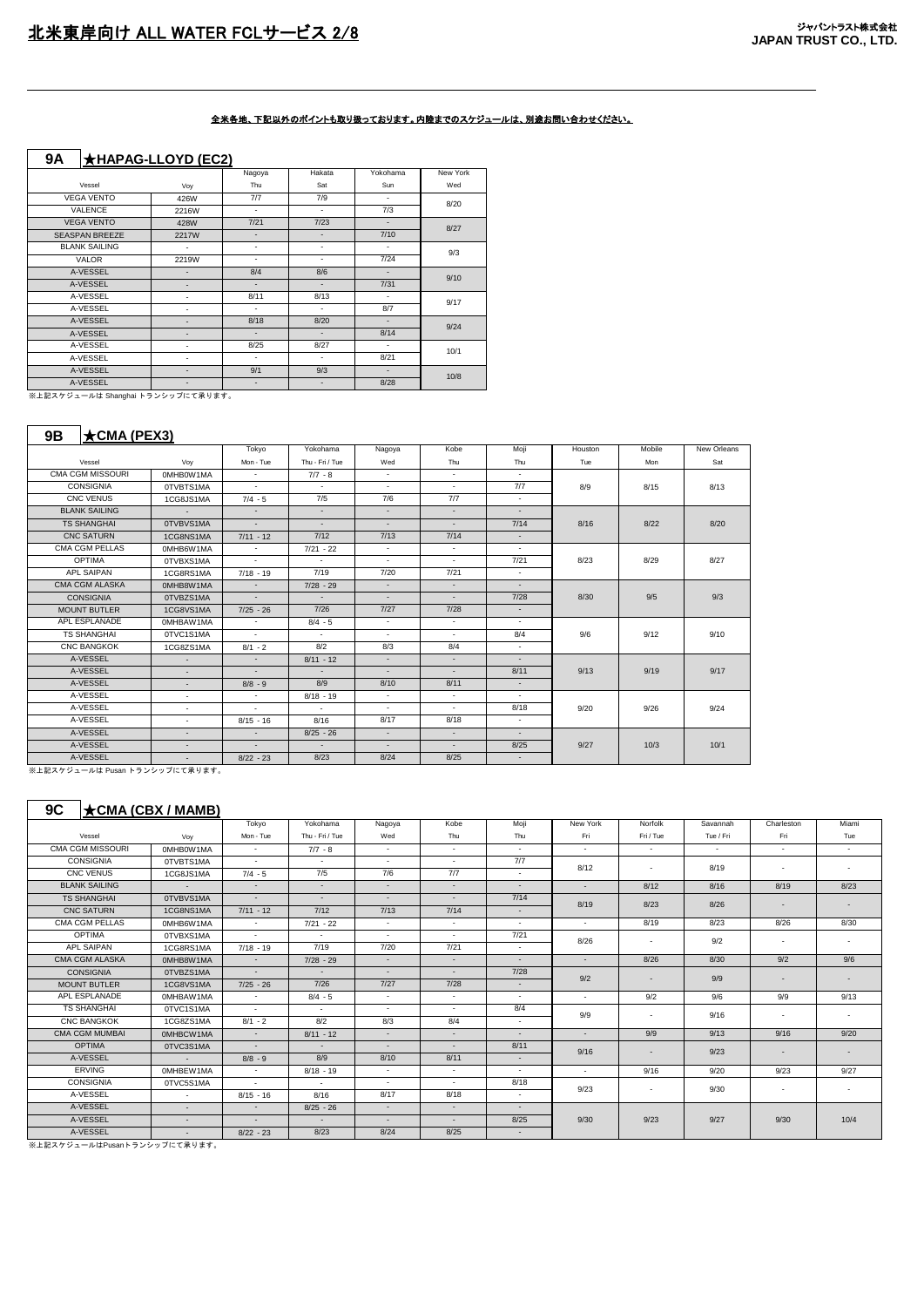### **9A** ★**HAPAG-LLOYD (EC2)**

 $\mathbf{I}$ 

|                       |              | Nagoya                   | Hakata                   | Yokohama | New York |
|-----------------------|--------------|--------------------------|--------------------------|----------|----------|
| Vessel                | Voy          | Thu                      | Sat                      | Sun      | Wed      |
| <b>VEGA VENTO</b>     | 426W         | 7/7                      | 7/9                      | ٠        | 8/20     |
| <b>VALENCE</b>        | 2216W        | ٠                        | $\overline{\phantom{a}}$ | 7/3      |          |
| <b>VEGA VENTO</b>     | 428W         | 7/21                     | 7/23                     | ٠        | 8/27     |
| <b>SEASPAN BREEZE</b> | <b>2217W</b> | $\overline{\phantom{a}}$ | $\blacksquare$           | 7/10     |          |
| <b>BLANK SAILING</b>  | ٠            | ٠                        | $\overline{\phantom{a}}$ | ٠        | 9/3      |
| <b>VALOR</b>          | 2219W        | ٠                        | $\overline{\phantom{a}}$ | 7/24     |          |
| A-VESSEL              | ٠            | 8/4                      | 8/6                      | ٠        | 9/10     |
| A-VESSEL              | ٠            | $\overline{a}$           | $\overline{\phantom{a}}$ | 7/31     |          |
| A-VESSEL              | ٠            | 8/11                     | 8/13                     | ٠        | 9/17     |
| A-VESSEL              | ٠            | ٠                        | $\blacksquare$           | 8/7      |          |
| A-VESSEL              | ٠            | 8/18                     | 8/20                     | ٠        | 9/24     |
| A-VESSEL              | ٠            | ٠                        | $\blacksquare$           | 8/14     |          |
| A-VESSEL              | ٠            | 8/25                     | 8/27                     | ٠        | 10/1     |
| A-VESSEL              | ٠            | ٠                        | $\blacksquare$           | 8/21     |          |
| A-VESSEL              | ٠            | 9/1                      | 9/3                      | ۰        | 10/8     |
| A-VESSEL              | ٠            | ٠                        | $\overline{\phantom{a}}$ | 8/28     |          |

- ※上記スケジュールは Shanghai トランシップにて承ります。

#### **9B** ★**CMA (PEX3)**

|                         |           | Tokyo       | Yokohama                 | Nagoya                   | Kobe   | Moji                     | Houston | Mobile | New Orleans |
|-------------------------|-----------|-------------|--------------------------|--------------------------|--------|--------------------------|---------|--------|-------------|
| Vessel                  | Voy       | Mon - Tue   | Thu - Fri / Tue          | Wed                      | Thu    | Thu                      | Tue     | Mon    | Sat         |
| <b>CMA CGM MISSOURI</b> | 0MHB0W1MA | $\sim$      | $7/7 - 8$                | $\sim$                   | $\sim$ | $\overline{\phantom{a}}$ |         |        |             |
| <b>CONSIGNIA</b>        | 0TVBTS1MA | $\sim$      | $\sim$                   | $\sim$                   | $\sim$ | 7/7                      | 8/9     | 8/15   | 8/13        |
| CNC VENUS               | 1CG8JS1MA | $7/4 - 5$   | 7/5                      | 7/6                      | 7/7    | $\sim$                   |         |        |             |
| <b>BLANK SAILING</b>    | $\sim$    | $\sim$      | $\sim$                   | $\overline{\phantom{a}}$ | $\sim$ | $\blacksquare$           |         |        |             |
| <b>TS SHANGHAI</b>      | 0TVBVS1MA | $\sim 100$  | $\sim$                   | ÷.                       | $\sim$ | 7/14                     | 8/16    | 8/22   | 8/20        |
| <b>CNC SATURN</b>       | 1CG8NS1MA | $7/11 - 12$ | 7/12                     | 7/13                     | 7/14   | $\overline{\phantom{a}}$ |         |        |             |
| CMA CGM PELLAS          | 0MHB6W1MA | $\sim$      | $7/21 - 22$              | $\sim$                   | $\sim$ | $\overline{\phantom{a}}$ |         |        |             |
| <b>OPTIMA</b>           | 0TVBXS1MA | $\sim$      | $\sim$                   | $\sim$                   | $\sim$ | 7/21                     | 8/23    | 8/29   | 8/27        |
| <b>APL SAIPAN</b>       | 1CG8RS1MA | $7/18 - 19$ | 7/19                     | 7/20                     | 7/21   | $\sim$                   |         |        |             |
| CMA CGM ALASKA          | 0MHB8W1MA | $\sim$      | $7/28 - 29$              | $\sim$                   | $\sim$ | $\sim$                   |         |        |             |
| <b>CONSIGNIA</b>        | 0TVBZS1MA | $\sim$      | $\sim$                   | ÷.                       | $\sim$ | 7/28                     | 8/30    | 9/5    | 9/3         |
| <b>MOUNT BUTLER</b>     | 1CG8VS1MA | $7/25 - 26$ | 7/26                     | $7/27$                   | 7/28   | $\sim$                   |         |        |             |
| APL ESPLANADE           | 0MHBAW1MA | $\sim$      | $8/4 - 5$                | $\sim$                   | $\sim$ | $\overline{\phantom{a}}$ |         |        |             |
| <b>TS SHANGHAI</b>      | 0TVC1S1MA | $\sim$      | $\overline{\phantom{a}}$ | $\sim$                   | $\sim$ | 8/4                      | 9/6     | 9/12   | 9/10        |
| <b>CNC BANGKOK</b>      | 1CG8ZS1MA | $8/1 - 2$   | 8/2                      | 8/3                      | 8/4    | $\overline{\phantom{a}}$ |         |        |             |
| A-VESSEL                | $\sim$    | $\sim$      | $8/11 - 12$              | $\sim$                   | $\sim$ | $\sim$                   |         |        |             |
| A-VESSEL                | $\sim$    | $\sim$      | $\sim$                   | $\sim$                   | $\sim$ | 8/11                     | 9/13    | 9/19   | 9/17        |
| A-VESSEL                | $\sim$    | $8/8 - 9$   | 8/9                      | 8/10                     | 8/11   | $\sim$                   |         |        |             |
| A-VESSEL                | $\sim$    | $\sim$      | $8/18 - 19$              | $\sim$                   | $\sim$ | $\overline{\phantom{a}}$ |         |        |             |
| A-VESSEL                | $\sim$    | $\sim$      | $\sim$                   | $\sim$                   | $\sim$ | 8/18                     | 9/20    | 9/26   | 9/24        |
| A-VESSEL                | $\sim$    | $8/15 - 16$ | 8/16                     | 8/17                     | 8/18   | $\overline{\phantom{a}}$ |         |        |             |
| A-VESSEL                | $\sim$    | $\sim$      | $8/25 - 26$              | $\sim$                   | ÷.     | $\overline{\phantom{a}}$ |         |        |             |
| A-VESSEL                | $\sim$    | $\sim$      | $\sim$                   | $\sim$                   | ÷.     | 8/25                     | 9/27    | 10/3   | 10/1        |
| A-VESSEL                | $\sim$    | $8/22 - 23$ | 8/23                     | 8/24                     | 8/25   | $\sim$                   |         |        |             |

。<br>※上記スケジュールは Pusan トランシップにて承ります。

### **9C** ★**CMA (CBX / MAMB)**

|                         |                 | Tokyo            | Yokohama        | Nagoya | Kobe                     | Moii                     | New York | Norfolk   | Savannah  | Charleston | Miami                    |
|-------------------------|-----------------|------------------|-----------------|--------|--------------------------|--------------------------|----------|-----------|-----------|------------|--------------------------|
| Vessel                  | Voy             | Mon - Tue        | Thu - Fri / Tue | Wed    | Thu                      | Thu                      | Fri      | Fri / Tue | Tue / Fri | Fri        | Tue                      |
| <b>CMA CGM MISSOURI</b> | OMHBOW1MA       | $\sim$           | $7/7 - 8$       | $\sim$ | $\sim$                   | $\sim$                   | $\sim$   | $\sim$    | $\sim$    | $\sim$     | $\sim$                   |
| <b>CONSIGNIA</b>        | 0TVBTS1MA       | $\sim$           | $\sim$          | $\sim$ | $\sim$                   | 7/7                      | 8/12     | $\sim$    | 8/19      | $\sim$     | $\sim$                   |
| CNC VENUS               | 1CG8JS1MA       | $7/4 - 5$        | 7/5             | 7/6    | 7/7                      | $\sim$                   |          |           |           |            |                          |
| <b>BLANK SAILING</b>    | $\sim 100$      | $\sim$           | $\sim$          | ÷.     | $\sim$                   | $\sim$                   | $\sim$   | 8/12      | 8/16      | 8/19       | 8/23                     |
| <b>TS SHANGHAI</b>      | 0TVBVS1MA       | $\sim$           | $\sim$          | ۰.     | $\overline{\phantom{a}}$ | 7/14                     | 8/19     | 8/23      | 8/26      |            | $\overline{\phantom{a}}$ |
| <b>CNC SATURN</b>       | 1CG8NS1MA       | $7/11 - 12$      | 7/12            | 7/13   | 7/14                     | $\sim$                   |          |           |           |            |                          |
| CMA CGM PELLAS          | 0MHB6W1MA       | $\sim$           | $7/21 - 22$     | $\sim$ | $\sim$                   | $\sim$                   | $\sim$   | 8/19      | 8/23      | 8/26       | 8/30                     |
| OPTIMA                  | 0TVBXS1MA       | $\sim$           | $\sim$          | $\sim$ | $\sim$                   | 7/21                     | 8/26     | $\sim$    | 9/2       | $\sim$     | $\overline{\phantom{a}}$ |
| APL SAIPAN              | 1CG8RS1MA       | $7/18 - 19$      | 7/19            | 7/20   | 7/21                     | $\sim$                   |          |           |           |            |                          |
| <b>CMA CGM ALASKA</b>   | 0MHB8W1MA       | $\sim$           | $7/28 - 29$     | ÷.     | $\sim$                   | $\sim$                   | $\sim$   | 8/26      | 8/30      | 9/2        | 9/6                      |
| <b>CONSIGNIA</b>        | 0TVBZS1MA       | $\sim$ 100 $\mu$ | $\sim$          | $\sim$ | $\sim$                   | 7/28                     | 9/2      | $\sim$    | 9/9       | $\sim$     | $\sim$                   |
| <b>MOUNT BUTLER</b>     | 1CG8VS1MA       | $7/25 - 26$      | 7/26            | 7/27   | 7/28                     | $\sim$                   |          |           |           |            |                          |
| APL ESPLANADE           | 0MHBAW1MA       | $\sim$           | $8/4 - 5$       | $\sim$ | $\sim$                   | $\overline{\phantom{a}}$ | $\sim$   | 9/2       | 9/6       | 9/9        | 9/13                     |
| <b>TS SHANGHAI</b>      | 0TVC1S1MA       | $\sim$           | $\sim$          | $\sim$ | $\sim$                   | 8/4                      | 9/9      | $\sim$    | 9/16      | $\sim$     | $\overline{\phantom{a}}$ |
| <b>CNC BANGKOK</b>      | 1CG8ZS1MA       | $8/1 - 2$        | 8/2             | 8/3    | 8/4                      | $\sim$                   |          |           |           |            |                          |
| <b>CMA CGM MUMBAI</b>   | 0MHBCW1MA       | $\sim$           | $8/11 - 12$     | ÷.     | $\sim$                   | $\sim$                   | $\sim$   | 9/9       | 9/13      | 9/16       | 9/20                     |
| <b>OPTIMA</b>           | 0TVC3S1MA       | $\sim$           | $\sim$          | $\sim$ | $\sim$                   | 8/11                     | 9/16     | $\sim$    | 9/23      | $\sim$     | $\sim$                   |
| A-VESSEL                | $\sim 10^{-11}$ | $8/8 - 9$        | 8/9             | 8/10   | 8/11                     | $\sim$                   |          |           |           |            |                          |
| <b>ERVING</b>           | 0MHBEW1MA       | $\sim$           | $8/18 - 19$     | $\sim$ | $\sim$                   | $\overline{\phantom{a}}$ | $\sim$   | 9/16      | 9/20      | 9/23       | 9/27                     |
| <b>CONSIGNIA</b>        | 0TVC5S1MA       | $\sim$           | $\sim$          | $\sim$ | $\sim$                   | 8/18                     | 9/23     |           | 9/30      |            |                          |
| A-VESSEL                | $\sim$          | $8/15 - 16$      | 8/16            | 8/17   | 8/18                     | $\sim$                   |          | $\sim$    |           | $\sim$     | $\sim$                   |
| A-VESSEL                | $\sim$          | $\sim$           | $8/25 - 26$     | $\sim$ | $\sim$                   | $\sim$                   |          |           |           |            |                          |
| A-VESSEL                | $\sim$          | $\sim$           | $\sim$          | ÷.     | $\sim$                   | 8/25                     | 9/30     | 9/23      | 9/27      | 9/30       | 10/4                     |
| A-VESSEL                | $\sim$          | $8/22 - 23$      | 8/23            | 8/24   | 8/25                     | $\sim$                   |          |           |           |            |                          |

。<br>※上記スケジュールはPusanトランシップにて承ります。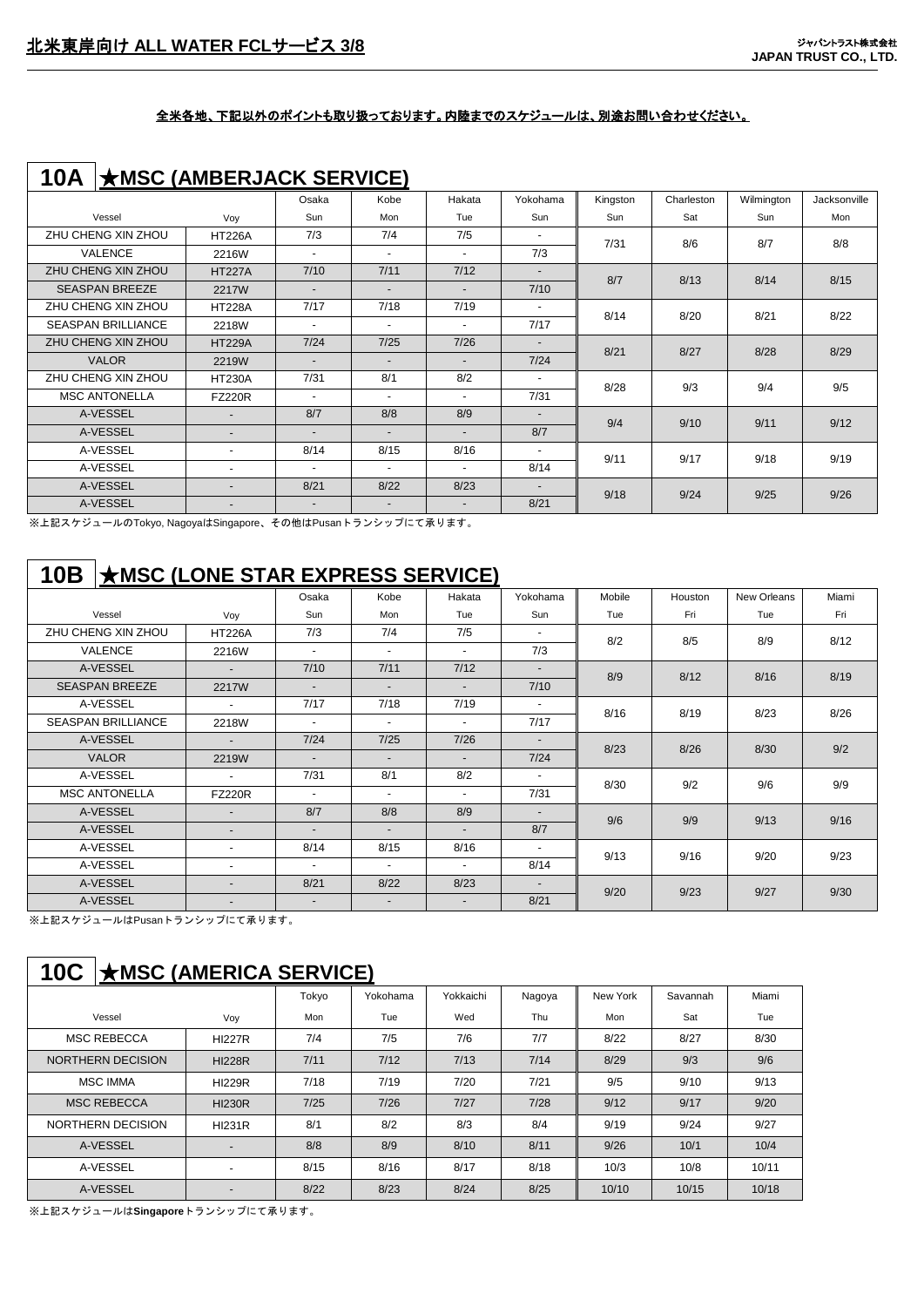| 10A                       | $\star$ MSC (AMBERJACK SERVICE) |                          |                          |                          |                          |          |            |            |              |
|---------------------------|---------------------------------|--------------------------|--------------------------|--------------------------|--------------------------|----------|------------|------------|--------------|
|                           |                                 | Osaka                    | Kobe                     | Hakata                   | Yokohama                 | Kingston | Charleston | Wilmington | Jacksonville |
| Vessel                    | Voy                             | Sun                      | Mon                      | Tue                      | Sun                      | Sun      | Sat        | Sun        | Mon          |
| ZHU CHENG XIN ZHOU        | <b>HT226A</b>                   | 7/3                      | 7/4                      | 7/5                      | $\overline{\phantom{a}}$ | 7/31     | 8/6        | 8/7        | 8/8          |
| <b>VALENCE</b>            | 2216W                           | $\blacksquare$           | $\overline{\phantom{a}}$ | $\overline{\phantom{a}}$ | 7/3                      |          |            |            |              |
| ZHU CHENG XIN ZHOU        | <b>HT227A</b>                   | 7/10                     | 7/11                     | 7/12                     | $\overline{\phantom{a}}$ | 8/7      | 8/13       | 8/14       | 8/15         |
| <b>SEASPAN BREEZE</b>     | 2217W                           | $\overline{\phantom{a}}$ | $\overline{\phantom{0}}$ | $\overline{\phantom{0}}$ | 7/10                     |          |            |            |              |
| ZHU CHENG XIN ZHOU        | <b>HT228A</b>                   | 7/17                     | 7/18                     | 7/19                     | $\overline{\phantom{a}}$ | 8/14     | 8/20       | 8/21       | 8/22         |
| <b>SEASPAN BRILLIANCE</b> | 2218W                           | $\overline{\phantom{a}}$ | $\overline{\phantom{a}}$ | $\sim$                   | 7/17                     |          |            |            |              |
| ZHU CHENG XIN ZHOU        | <b>HT229A</b>                   | 7/24                     | 7/25                     | 7/26                     | $\overline{\phantom{a}}$ | 8/21     | 8/27       | 8/28       | 8/29         |
| <b>VALOR</b>              | 2219W                           | $\overline{\phantom{a}}$ | $\overline{\phantom{a}}$ |                          | 7/24                     |          |            |            |              |
| ZHU CHENG XIN ZHOU        | <b>HT230A</b>                   | 7/31                     | 8/1                      | 8/2                      | $\overline{\phantom{a}}$ | 8/28     | 9/3        | 9/4        | 9/5          |
| <b>MSC ANTONELLA</b>      | <b>FZ220R</b>                   | $\overline{\phantom{a}}$ | $\overline{\phantom{a}}$ | $\overline{\phantom{a}}$ | 7/31                     |          |            |            |              |
| A-VESSEL                  | $\overline{\phantom{a}}$        | 8/7                      | 8/8                      | 8/9                      | $\overline{\phantom{a}}$ | 9/4      | 9/10       | 9/11       | 9/12         |
| A-VESSEL                  | $\overline{\phantom{0}}$        | $\overline{\phantom{0}}$ | $\overline{\phantom{a}}$ |                          | 8/7                      |          |            |            |              |
| A-VESSEL                  | $\overline{\phantom{a}}$        | 8/14                     | 8/15                     | 8/16                     |                          | 9/11     | 9/17       | 9/18       | 9/19         |
| A-VESSEL                  | $\overline{\phantom{a}}$        | ٠                        | $\overline{\phantom{0}}$ | $\overline{\phantom{a}}$ | 8/14                     |          |            |            |              |
| A-VESSEL                  | $\overline{\phantom{a}}$        | 8/21                     | 8/22                     | 8/23                     | $\overline{\phantom{a}}$ | 9/18     | 9/24       | 9/25       | 9/26         |
| A-VESSEL                  | $\overline{\phantom{0}}$        | $\overline{\phantom{a}}$ | $\overline{\phantom{a}}$ | $\overline{\phantom{a}}$ | 8/21                     |          |            |            |              |

※上記スケジュールのTokyo, NagoyaはSingapore、その他はPusanトランシップにて承ります。

## **10B** ★**MSC (LONE STAR EXPRESS SERVICE)**

|                           |                          | Osaka                    | Kobe                     | Hakata                   | Yokohama                 | Mobile | Houston | New Orleans | Miami |
|---------------------------|--------------------------|--------------------------|--------------------------|--------------------------|--------------------------|--------|---------|-------------|-------|
| Vessel                    | Voy                      | Sun                      | Mon                      | Tue                      | Sun                      | Tue    | Fri     | Tue         | Fri   |
| ZHU CHENG XIN ZHOU        | <b>HT226A</b>            | 7/3                      | 7/4                      | 7/5                      | $\blacksquare$           | 8/2    | 8/5     | 8/9         | 8/12  |
| <b>VALENCE</b>            | 2216W                    | $\overline{\phantom{a}}$ | $\blacksquare$           | $\sim$                   | 7/3                      |        |         |             |       |
| A-VESSEL                  |                          | 7/10                     | 7/11                     | 7/12                     | $\overline{\phantom{a}}$ | 8/9    | 8/12    | 8/16        | 8/19  |
| <b>SEASPAN BREEZE</b>     | 2217W                    | $\overline{\phantom{0}}$ | $\blacksquare$           | $\sim$                   | 7/10                     |        |         |             |       |
| A-VESSEL                  | $\overline{\phantom{0}}$ | 7/17                     | 7/18                     | 7/19                     | $\blacksquare$           | 8/16   | 8/19    | 8/23        | 8/26  |
| <b>SEASPAN BRILLIANCE</b> | 2218W                    | $\overline{\phantom{a}}$ |                          | $\sim$                   | 7/17                     |        |         |             |       |
| A-VESSEL                  | $\overline{a}$           | 7/24                     | $7/25$                   | 7/26                     | $\overline{\phantom{0}}$ | 8/23   | 8/26    | 8/30        | 9/2   |
| <b>VALOR</b>              | 2219W                    | $\overline{\phantom{0}}$ |                          | $\sim$                   | 7/24                     |        |         |             |       |
| A-VESSEL                  |                          | 7/31                     | 8/1                      | 8/2                      | $\overline{\phantom{a}}$ | 8/30   | 9/2     | 9/6         | 9/9   |
| <b>MSC ANTONELLA</b>      | <b>FZ220R</b>            | $\overline{\phantom{a}}$ | $\overline{\phantom{0}}$ | $\overline{\phantom{a}}$ | 7/31                     |        |         |             |       |
| A-VESSEL                  | $\overline{\phantom{0}}$ | 8/7                      | 8/8                      | 8/9                      | $\overline{\phantom{0}}$ | 9/6    | 9/9     | 9/13        | 9/16  |
| A-VESSEL                  | $\overline{\phantom{0}}$ | $\overline{\phantom{a}}$ |                          | $\overline{\phantom{a}}$ | 8/7                      |        |         |             |       |
| A-VESSEL                  | $\overline{\phantom{0}}$ | 8/14                     | 8/15                     | 8/16                     | $\blacksquare$           | 9/13   | 9/16    | 9/20        | 9/23  |
| A-VESSEL                  | $\overline{\phantom{0}}$ | $\overline{\phantom{a}}$ | $\blacksquare$           | $\sim$                   | 8/14                     |        |         |             |       |
| A-VESSEL                  | $\overline{\phantom{0}}$ | 8/21                     | 8/22                     | 8/23                     | $\overline{\phantom{0}}$ | 9/20   | 9/23    | 9/27        | 9/30  |
| A-VESSEL                  |                          | $\overline{\phantom{a}}$ | $\overline{\phantom{0}}$ | $\overline{\phantom{a}}$ | 8/21                     |        |         |             |       |

※上記スケジュールはPusanトランシップにて承ります。

# **10C** ★**MSC (AMERICA SERVICE)**

|                          |                          | Tokyo | Yokohama | Yokkaichi | Nagoya | <b>New York</b> | Savannah | Miami |
|--------------------------|--------------------------|-------|----------|-----------|--------|-----------------|----------|-------|
| Vessel                   | Voy                      | Mon   | Tue      | Wed       | Thu    | Mon             | Sat      | Tue   |
| <b>MSC REBECCA</b>       | <b>HI227R</b>            | 7/4   | 7/5      | 7/6       | 7/7    | 8/22            | 8/27     | 8/30  |
| <b>NORTHERN DECISION</b> | <b>HI228R</b>            | 7/11  | 7/12     | 7/13      | 7/14   | 8/29            | 9/3      | 9/6   |
| <b>MSC IMMA</b>          | <b>HI229R</b>            | 7/18  | 7/19     | 7/20      | 7/21   | 9/5             | 9/10     | 9/13  |
| <b>MSC REBECCA</b>       | <b>HI230R</b>            | 7/25  | 7/26     | 7/27      | 7/28   | 9/12            | 9/17     | 9/20  |
| NORTHERN DECISION        | <b>HI231R</b>            | 8/1   | 8/2      | 8/3       | 8/4    | 9/19            | 9/24     | 9/27  |
| A-VESSEL                 |                          | 8/8   | 8/9      | 8/10      | 8/11   | 9/26            | 10/1     | 10/4  |
| A-VESSEL                 | $\overline{\phantom{0}}$ | 8/15  | 8/16     | 8/17      | 8/18   | 10/3            | 10/8     | 10/11 |
| A-VESSEL                 |                          | 8/22  | 8/23     | 8/24      | 8/25   | 10/10           | 10/15    | 10/18 |

※上記スケジュールは**Singapore**トランシップにて承ります。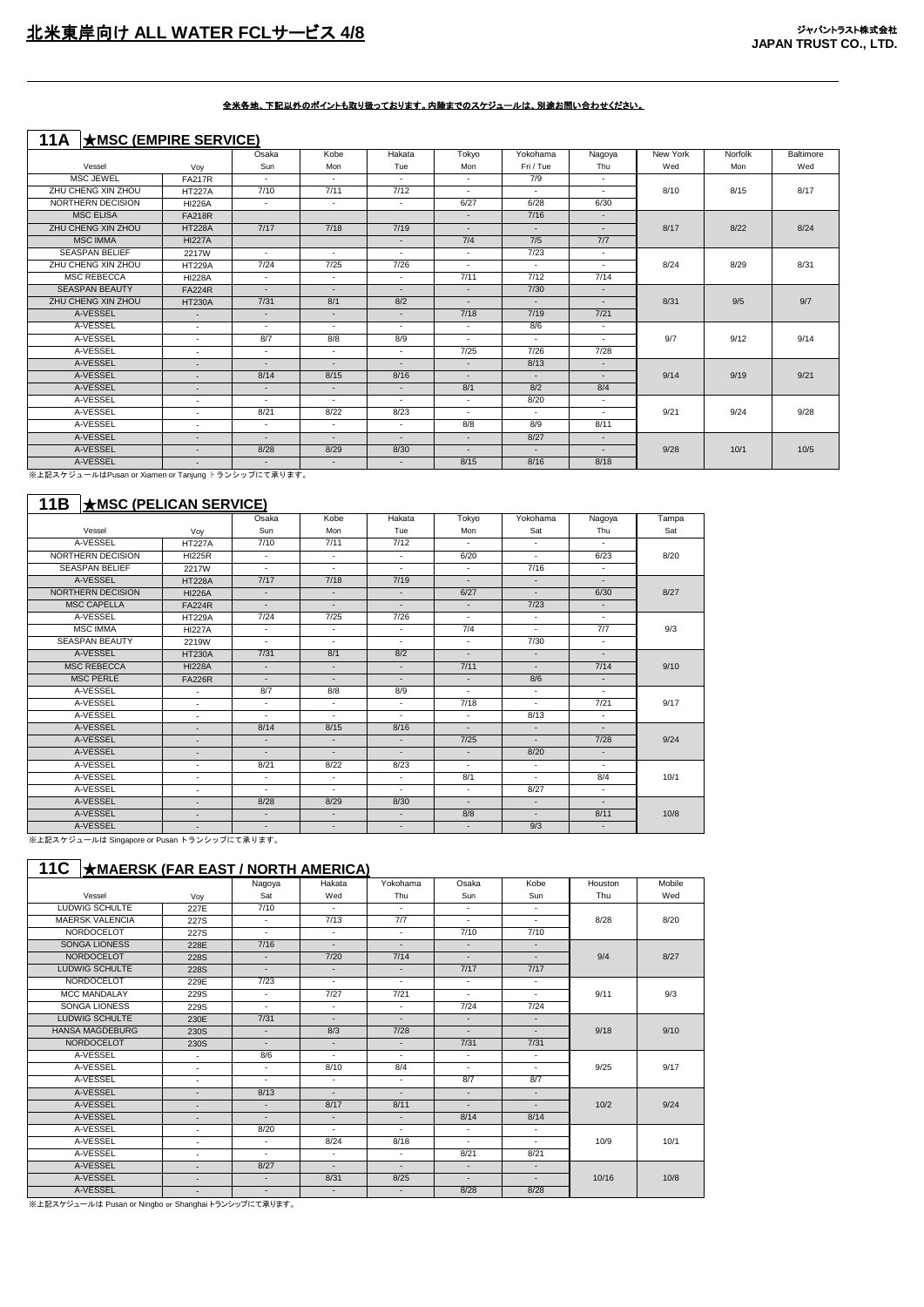## **11A** ★**MSC (EMPIRE SERVICE)**

|                       |                          | Osaka  | Kobe                     | Hakata | Tokyo                    | Yokohama  | Nagoya                   | New York | Norfolk | Baltimore |
|-----------------------|--------------------------|--------|--------------------------|--------|--------------------------|-----------|--------------------------|----------|---------|-----------|
| Vessel                | Vov                      | Sun    | Mon                      | Tue    | Mon                      | Fri / Tue | Thu                      | Wed      | Mon     | Wed       |
| <b>MSC JEWEL</b>      | <b>FA217R</b>            | $\sim$ | $\sim$                   | $\sim$ | $\sim$                   | 7/9       | $\sim$                   |          |         |           |
| ZHU CHENG XIN ZHOU    | <b>HT227A</b>            | 7/10   | 7/11                     | 7/12   | $\sim$                   | $\sim$    | $\sim$                   | 8/10     | 8/15    | 8/17      |
| NORTHERN DECISION     | <b>HI226A</b>            | $\sim$ | $\sim$                   | $\sim$ | 6/27                     | 6/28      | 6/30                     |          |         |           |
| <b>MSC ELISA</b>      | <b>FA218R</b>            |        |                          |        | $\sim$                   | 7/16      | $\sim$                   |          |         |           |
| ZHU CHENG XIN ZHOU    | <b>HT228A</b>            | 7/17   | 7/18                     | 7/19   | $\overline{\phantom{a}}$ | $\sim$    | $\overline{\phantom{a}}$ | 8/17     | 8/22    | 8/24      |
| <b>MSC IMMA</b>       | <b>HI227A</b>            |        |                          | $\sim$ | 7/4                      | 7/5       | 7/7                      |          |         |           |
| <b>SEASPAN BELIEF</b> | 2217W                    | $\sim$ | $\sim$                   | $\sim$ | $\sim$                   | 7/23      | $\sim$                   |          |         |           |
| ZHU CHENG XIN ZHOU    | <b>HT229A</b>            | 7/24   | 7/25                     | 7/26   | $\sim$                   | $\sim$    | $\sim$                   | 8/24     | 8/29    | 8/31      |
| <b>MSC REBECCA</b>    | <b>HI228A</b>            | $\sim$ | $\sim$                   | $\sim$ | 7/11                     | 7/12      | 7/14                     |          |         |           |
| <b>SEASPAN BEAUTY</b> | <b>FA224R</b>            | $\sim$ | $\sim$                   | $\sim$ | $\sim$                   | 7/30      | $\overline{\phantom{a}}$ |          |         |           |
| ZHU CHENG XIN ZHOU    | <b>HT230A</b>            | 7/31   | 8/1                      | 8/2    | $\sim$                   | $\sim$    | $\sim$                   | 8/31     | 9/5     | 9/7       |
| A-VESSEL              | $\sim$                   | $\sim$ | $\sim$                   | $\sim$ | 7/18                     | 7/19      | 7/21                     |          |         |           |
| A-VESSEL              | $\overline{\phantom{a}}$ | $\sim$ | $\sim$                   | $\sim$ | $\sim$                   | 8/6       | $\sim$                   |          |         |           |
| A-VESSEL              | $\overline{\phantom{a}}$ | 8/7    | 8/8                      | 8/9    | $\sim$                   | $\sim$    | $\sim$                   | 9/7      | 9/12    | 9/14      |
| A-VESSEL              | $\sim$                   | $\sim$ | $\sim$                   | $\sim$ | 7/25                     | 7/26      | 7/28                     |          |         |           |
| A-VESSEL              | $\overline{\phantom{a}}$ | $\sim$ | $\sim$                   | $\sim$ | $\sim$                   | 8/13      | $\sim$                   |          |         |           |
| A-VESSEL              | $\sim$                   | 8/14   | 8/15                     | 8/16   | $\overline{\phantom{a}}$ | $\sim$    | $\sim$                   | 9/14     | 9/19    | 9/21      |
| A-VESSEL              | $\sim$                   | $\sim$ | $\sim$                   | $\sim$ | 8/1                      | 8/2       | 8/4                      |          |         |           |
| A-VESSEL              | $\overline{\phantom{a}}$ | $\sim$ | $\sim$                   | $\sim$ | $\sim$                   | 8/20      | $\sim$                   |          |         |           |
| A-VESSEL              | $\overline{\phantom{a}}$ | 8/21   | 8/22                     | 8/23   | $\sim$                   | $\sim$    | ٠                        | 9/21     | 9/24    | 9/28      |
| A-VESSEL              | $\overline{\phantom{a}}$ | $\sim$ | $\sim$                   | $\sim$ | 8/8                      | 8/9       | 8/11                     |          |         |           |
| A-VESSEL              | $\overline{\phantom{a}}$ | $\sim$ | $\overline{\phantom{a}}$ | $\sim$ | $\sim$                   | 8/27      | $\sim$                   |          |         |           |
| A-VESSEL              | $\mathbf{r}$             | 8/28   | 8/29                     | 8/30   | $\sim$                   | $\sim$    | $\overline{\phantom{a}}$ | 9/28     | 10/1    | 10/5      |
| A-VESSEL              | $\overline{\phantom{a}}$ | $\sim$ | $\sim$                   | $\sim$ | 8/15                     | 8/16      | 8/18                     |          |         |           |

※上記スケジュールはPusan or Xiamen or Tanjung トランシップにて承ります。

### **11B** ★**MSC (PELICAN SERVICE)**

|                       |                          | Osaka                    | Kobe                     | Hakata                   | Tokyo                    | Yokohama                 | Nagoya                   | Tampa |
|-----------------------|--------------------------|--------------------------|--------------------------|--------------------------|--------------------------|--------------------------|--------------------------|-------|
| Vessel                | Voy                      | Sun                      | Mon                      | Tue                      | Mon                      | Sat                      | Thu                      | Sat   |
| A-VESSEL              | <b>HT227A</b>            | 7/10                     | 7/11                     | 7/12                     | $\overline{\phantom{a}}$ | $\overline{\phantom{a}}$ | ٠                        |       |
| NORTHERN DECISION     | <b>HI225R</b>            | $\sim$                   | $\sim$                   | $\sim$                   | 6/20                     | $\overline{\phantom{a}}$ | 6/23                     | 8/20  |
| <b>SEASPAN BELIEF</b> | 2217W                    | ٠                        | $\overline{a}$           | $\overline{\phantom{a}}$ | ٠                        | 7/16                     | $\sim$                   |       |
| A-VESSEL              | <b>HT228A</b>            | 7/17                     | 7/18                     | 7/19                     | $\overline{\phantom{a}}$ | $\sim$                   | $\overline{\phantom{a}}$ |       |
| NORTHERN DECISION     | <b>HI226A</b>            | $\sim$                   | $\sim$                   | $\sim$                   | 6/27                     | $\sim$                   | 6/30                     | 8/27  |
| <b>MSC CAPELLA</b>    | <b>FA224R</b>            | $\sim$                   | $\sim$                   | $\mathbf{r}$             | $\blacksquare$           | 7/23                     | $\overline{\phantom{a}}$ |       |
| A-VESSEL              | <b>HT229A</b>            | 7/24                     | 7/25                     | 7/26                     | ٠                        | $\overline{\phantom{a}}$ | ٠                        |       |
| <b>MSC IMMA</b>       | <b>HI227A</b>            | $\sim$                   | $\sim$                   | $\sim$                   | 7/4                      | $\sim$                   | 7/7                      | 9/3   |
| <b>SEASPAN BEAUTY</b> | 2219W                    | ٠                        | ٠                        | ٠                        | $\overline{\phantom{a}}$ | 7/30                     | $\overline{\phantom{a}}$ |       |
| A-VESSEL              | <b>HT230A</b>            | 7/31                     | 8/1                      | 8/2                      | ٠                        | $\overline{\phantom{a}}$ | ٠                        |       |
| <b>MSC REBECCA</b>    | <b>HI228A</b>            | $\sim$                   | $\overline{\phantom{a}}$ | ۰                        | 7/11                     | $\overline{\phantom{0}}$ | 7/14                     | 9/10  |
| <b>MSC PERLE</b>      | <b>FA226R</b>            | $\sim$                   | $\blacksquare$           | ٠                        | $\overline{\phantom{a}}$ | 8/6                      | $\overline{\phantom{a}}$ |       |
| A-VESSEL              | $\sim$                   | 8/7                      | 8/8                      | 8/9                      | $\overline{\phantom{a}}$ | $\sim$                   | $\overline{\phantom{a}}$ |       |
| A-VESSEL              | $\sim$                   | $\sim$                   | $\overline{\phantom{a}}$ | $\sim$                   | 7/18                     | $\sim$                   | 7/21                     | 9/17  |
| A-VESSEL              | $\sim$                   | $\sim$                   | $\sim$                   | ٠                        | $\overline{\phantom{a}}$ | 8/13                     | ٠                        |       |
| A-VESSEL              | $\sim$                   | 8/14                     | 8/15                     | 8/16                     | ٠                        | $\sim$                   | ٠                        |       |
| A-VESSEL              | $\overline{\phantom{a}}$ | $\overline{\phantom{a}}$ | $\blacksquare$           | $\overline{\phantom{a}}$ | 7/25                     | $\overline{\phantom{a}}$ | 7/28                     | 9/24  |
| A-VESSEL              | $\overline{\phantom{a}}$ | ٠                        | $\overline{\phantom{a}}$ | ٠                        | $\mathbf{r}$             | 8/20                     | $\overline{\phantom{a}}$ |       |
| A-VESSEL              | $\overline{\phantom{a}}$ | 8/21                     | 8/22                     | 8/23                     | ٠                        | $\overline{\phantom{a}}$ | $\overline{a}$           |       |
| A-VESSEL              | $\sim$                   | $\sim$                   | $\sim$                   | $\sim$                   | 8/1                      | $\sim$                   | 8/4                      | 10/1  |
| A-VESSEL              | $\sim$                   | ٠                        | $\sim$                   | $\sim$                   | $\overline{\phantom{a}}$ | 8/27                     | $\overline{\phantom{a}}$ |       |
| A-VESSEL              | $\sim$                   | 8/28                     | 8/29                     | 8/30                     | $\overline{\phantom{a}}$ | $\sim$                   | $\mathbf{r}$             |       |
| A-VESSEL              |                          | ٠                        | $\overline{\phantom{a}}$ | $\overline{\phantom{a}}$ | 8/8                      | $\overline{\phantom{a}}$ | 8/11                     | 10/8  |
| A-VESSEL              | $\overline{\phantom{a}}$ | ٠                        | $\overline{\phantom{a}}$ | ٠                        | $\overline{\phantom{a}}$ | 9/3                      | $\overline{\phantom{a}}$ |       |

ー<br>※上記スケジュールは Singapore or Pusan トランシップにて承ります。

### **11C** ★**MAERSK (FAR EAST / NORTH AMERICA)**

|                        |                          | Nagoya                   | Hakata                   | Yokohama                 | Osaka                    | Kobe                     | Houston | Mobile |
|------------------------|--------------------------|--------------------------|--------------------------|--------------------------|--------------------------|--------------------------|---------|--------|
| Vessel                 | Voy                      | Sat                      | Wed                      | Thu                      | Sun                      | Sun                      | Thu     | Wed    |
| <b>LUDWIG SCHULTE</b>  | 227E                     | 7/10                     | $\overline{\phantom{a}}$ | $\overline{\phantom{a}}$ | $\sim$                   | ۰.                       |         |        |
| MAERSK VALENCIA        | 227S                     | $\sim$                   | 7/13                     | 7/7                      | ٠                        | ٠                        | 8/28    | 8/20   |
| NORDOCELOT             | 227S                     | $\overline{\phantom{a}}$ | ٠                        | $\overline{\phantom{a}}$ | 7/10                     | 7/10                     |         |        |
| <b>SONGA LIONESS</b>   | 228E                     | 7/16                     | $\overline{\phantom{a}}$ | $\blacksquare$           | ÷.                       | ÷.                       |         |        |
| NORDOCELOT             | 228S                     | $\sim$                   | 7/20                     | 7/14                     | $\overline{\phantom{a}}$ | $\overline{\phantom{a}}$ | 9/4     | 8/27   |
| LUDWIG SCHULTE         | 228S                     | $\sim$                   | $\overline{\phantom{a}}$ | $\sim$                   | 7/17                     | 7/17                     |         |        |
| NORDOCELOT             | 229E                     | 7/23                     | $\sim$                   | $\sim$                   | ٠                        | ٠                        |         |        |
| MCC MANDALAY           | 229S                     | $\sim$                   | 7/27                     | 7/21                     | ٠                        | ٠                        | 9/11    | 9/3    |
| <b>SONGA LIONESS</b>   | 229S                     | $\overline{\phantom{a}}$ | $\overline{\phantom{a}}$ | $\sim$                   | 7/24                     | 7/24                     |         |        |
| <b>LUDWIG SCHULTE</b>  | 230E                     | 7/31                     | $\blacksquare$           | ٠                        | $\overline{\phantom{a}}$ | $\blacksquare$           |         |        |
| <b>HANSA MAGDEBURG</b> | 230S                     | $\mathbf{r}$             | 8/3                      | 7/28                     | $\overline{\phantom{a}}$ | ٠                        | 9/18    | 9/10   |
| <b>NORDOCELOT</b>      | 230S                     | $\sim$                   | $\overline{\phantom{a}}$ | $\overline{\phantom{a}}$ | 7/31                     | 7/31                     |         |        |
| A-VESSEL               | $\sim$                   | 8/6                      | $\overline{\phantom{a}}$ | $\sim$                   | $\sim$                   | $\sim$                   |         |        |
| A-VESSEL               | $\sim$                   | $\sim$                   | 8/10                     | 8/4                      | $\overline{\phantom{a}}$ | ٠                        | 9/25    | 9/17   |
| A-VESSEL               | $\overline{\phantom{a}}$ | ٠                        | ٠                        | $\sim$                   | 8/7                      | 8/7                      |         |        |
| A-VESSEL               |                          | 8/13                     | $\overline{\phantom{a}}$ | ٠                        | $\overline{\phantom{a}}$ | $\overline{\phantom{a}}$ |         |        |
| A-VESSEL               | $\overline{\phantom{a}}$ | $\sim$                   | 8/17                     | 8/11                     | $\overline{\phantom{a}}$ | ٠                        | 10/2    | 9/24   |
| A-VESSEL               | ×                        | ٠                        | $\overline{\phantom{a}}$ | $\overline{\phantom{a}}$ | 8/14                     | 8/14                     |         |        |
| A-VESSEL               | $\overline{\phantom{a}}$ | 8/20                     | $\sim$                   | $\sim$                   | $\sim$                   | ٠                        |         |        |
| A-VESSEL               | $\overline{\phantom{a}}$ | $\sim$                   | 8/24                     | 8/18                     | $\sim$                   | $\overline{\phantom{a}}$ | 10/9    | 10/1   |
| A-VESSEL               | $\overline{\phantom{a}}$ | $\sim$                   | $\overline{\phantom{a}}$ | $\sim$                   | 8/21                     | 8/21                     |         |        |
| A-VESSEL               | $\overline{\phantom{a}}$ | 8/27                     | $\blacksquare$           | $\overline{\phantom{a}}$ | $\overline{\phantom{a}}$ | $\overline{\phantom{a}}$ |         |        |
| A-VESSEL               | $\overline{\phantom{a}}$ | $\overline{\phantom{a}}$ | 8/31                     | 8/25                     | $\overline{\phantom{a}}$ | $\blacksquare$           | 10/16   | 10/8   |
| A-VESSEL               | $\overline{\phantom{a}}$ | ٠                        | $\overline{\phantom{a}}$ | $\overline{\phantom{a}}$ | 8/28                     | 8/28                     |         |        |

-<br>※上記スケジュールは Pusan or Ningbo or Shanghai トランシップにて承ります。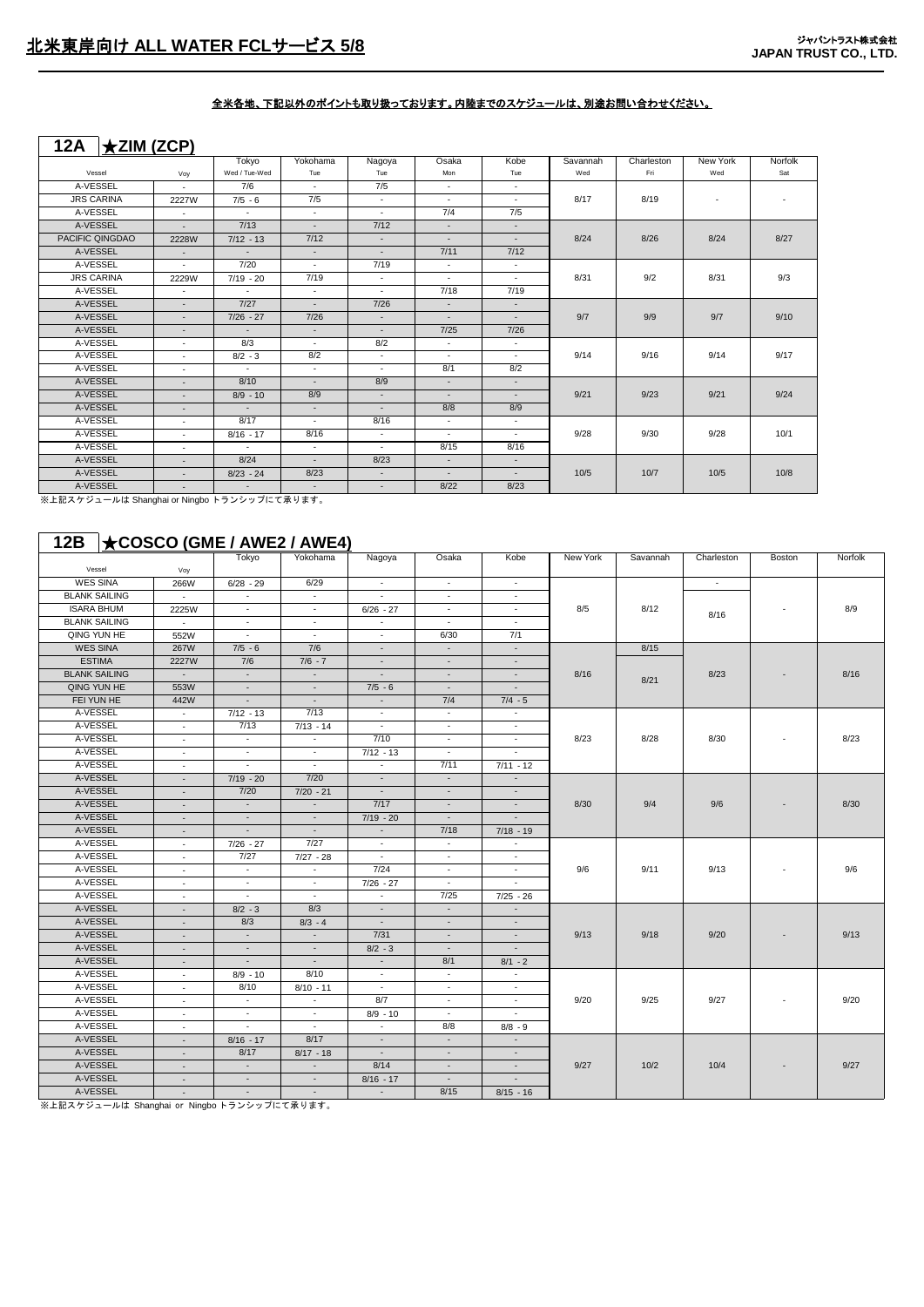## **12A** ★**ZIM (ZCP)**

|                   |        | Tokyo         | Yokohama                     | Nagoya     | Osaka  | Kobe           | Savannah | Charleston | New York | Norfolk |
|-------------------|--------|---------------|------------------------------|------------|--------|----------------|----------|------------|----------|---------|
| Vessel            | Voy    | Wed / Tue-Wed | Tue                          | Tue        | Mon    | Tue            | Wed      | Fri        | Wed      | Sat     |
| A-VESSEL          | $\sim$ | 7/6           | $\sim$                       | 7/5        | $\sim$ | $\sim$         |          |            |          |         |
| <b>JRS CARINA</b> | 2227W  | $7/5 - 6$     | 7/5                          | $\sim$     | $\sim$ | $\sim 10^{-1}$ | 8/17     | 8/19       | $\sim$   | $\sim$  |
| A-VESSEL          | $\sim$ | $\sim$        | $\sim$                       | $\sim$     | 7/4    | 7/5            |          |            |          |         |
| A-VESSEL          | $\sim$ | 7/13          | $\sim$                       | 7/12       | $\sim$ | $\sim$         |          |            |          |         |
| PACIFIC QINGDAO   | 2228W  | $7/12 - 13$   | 7/12                         | $\sim$     | $\sim$ | $\sim$         | 8/24     | 8/26       | 8/24     | 8/27    |
| A-VESSEL          | $\sim$ | $\sim 10$     | $\sim$                       | $\sim$     | 7/11   | 7/12           |          |            |          |         |
| A-VESSEL          | $\sim$ | 7/20          | $\mathcal{L}_{\mathrm{eff}}$ | 7/19       | $\sim$ | $\sim$         |          |            |          |         |
| <b>JRS CARINA</b> | 2229W  | $7/19 - 20$   | 7/19                         | $\sim$     | $\sim$ | $\sim$         | 8/31     | 9/2        | 8/31     | 9/3     |
| A-VESSEL          | $\sim$ | $\sim$        | $\sim$                       | $\sim$     | 7/18   | 7/19           |          |            |          |         |
| A-VESSEL          | $\sim$ | 7/27          | $\sim$                       | 7/26       | $\sim$ | $\sim$         |          |            |          |         |
| A-VESSEL          | $\sim$ | $7/26 - 27$   | 7/26                         | $\sim$     | $\sim$ | $\sim$         | 9/7      | 9/9        | 9/7      | 9/10    |
| A-VESSEL          | $\sim$ | $\sim$        | $\sim$                       | $\sim$     | 7/25   | 7/26           |          |            |          |         |
| A-VESSEL          | $\sim$ | 8/3           | $\sim$                       | 8/2        | $\sim$ | $\sim$         |          |            | 9/14     |         |
| A-VESSEL          | $\sim$ | $8/2 - 3$     | 8/2                          | $\sim$     | $\sim$ | $\sim$         | 9/14     | 9/16       |          | 9/17    |
| A-VESSEL          | ٠      | $\sim$        | $\mathcal{L}_{\mathrm{eff}}$ | $\sim$     | 8/1    | 8/2            |          |            |          |         |
| A-VESSEL          |        | 8/10          | $\sim$                       | 8/9        | $\sim$ | $\sim$         |          |            |          |         |
| A-VESSEL          | $\sim$ | $8/9 - 10$    | 8/9                          | $\sim$     | $\sim$ | $\sim$         | 9/21     | 9/23       | 9/21     | 9/24    |
| A-VESSEL          | $\sim$ | $\sim$        | $\sim$                       | $\sim$ $-$ | 8/8    | 8/9            |          |            |          |         |
| A-VESSEL          | $\sim$ | 8/17          | $\sim$                       | 8/16       | $\sim$ | $\sim$         |          |            |          |         |
| A-VESSEL          | $\sim$ | $8/16 - 17$   | 8/16                         | $\sim$     | $\sim$ | $\sim$         | 9/28     | 9/30       | 9/28     | 10/1    |
| A-VESSEL          | ٠      | $\sim 10$     | $\sim$                       | $\sim$     | 8/15   | 8/16           |          |            |          |         |
| A-VESSEL          | $\sim$ | 8/24          | $\sim$                       | 8/23       | $\sim$ | $\sim$         |          |            |          |         |
| A-VESSEL          | $\sim$ | $8/23 - 24$   | 8/23                         | $\sim 10$  | $\sim$ | $\sim$         | 10/5     | 10/7       | 10/5     | 10/8    |
| A-VESSEL          | $\sim$ | $\sim$        | $\sim$                       | $\sim$     | 8/22   | 8/23           |          |            |          |         |

※上記スケジュールは Shanghai or Ningbo トランシップにて承ります。

## **12B** ★**COSCO (GME / AWE2 / AWE4)**

|                      |                          | Tokyo                       | Yokohama                 | Nagoya                      | Osaka                    | Kobe                     | New York | Savannah | Charleston | <b>Boston</b> | Norfolk |
|----------------------|--------------------------|-----------------------------|--------------------------|-----------------------------|--------------------------|--------------------------|----------|----------|------------|---------------|---------|
| Vessel               | Voy                      |                             |                          |                             |                          |                          |          |          |            |               |         |
| <b>WES SINA</b>      | 266W                     | $6/28 - 29$                 | 6/29                     | $\sim$                      | $\sim$                   | $\sim$                   |          |          | $\sim$     |               |         |
| <b>BLANK SAILING</b> | $\sim$                   | $\sim$                      | $\sim$                   | $\sim$                      | $\overline{a}$           | $\sim$                   |          |          |            |               |         |
| <b>ISARA BHUM</b>    | 2225W                    | $\sim$                      | $\sim$                   | $6/26 - 27$                 | $\sim$                   | $\sim$                   | 8/5      | 8/12     | 8/16       |               | 8/9     |
| <b>BLANK SAILING</b> | $\sim$                   | $\omega$                    | $\sim$                   | $\mathcal{L}_{\mathcal{A}}$ | $\sim$                   | $\sim$                   |          |          |            |               |         |
| QING YUN HE          | 552W                     | $\overline{\phantom{a}}$    | $\sim$                   | $\sim$                      | 6/30                     | 7/1                      |          |          |            |               |         |
| <b>WES SINA</b>      | 267W                     | $7/5 - 6$                   | 7/6                      | $\sim$                      | $\overline{\phantom{a}}$ | $\sim$                   |          | 8/15     |            |               |         |
| <b>ESTIMA</b>        | 2227W                    | 7/6                         | $7/6 - 7$                | $\sim$                      | $\overline{\phantom{a}}$ | $\overline{\phantom{a}}$ |          |          |            |               |         |
| <b>BLANK SAILING</b> | $\sim$                   | $\mathcal{L}_{\mathcal{A}}$ | $\sim$                   | ÷.                          | $\sim$                   | $\sim$                   | 8/16     | 8/21     | 8/23       |               | 8/16    |
| QING YUN HE          | 553W                     | $\blacksquare$              | $\sim$                   | $7/5 - 6$                   | $\sim$                   | $\sim$                   |          |          |            |               |         |
| FEI YUN HE           | 442W                     | $\overline{\phantom{a}}$    | $\sim$                   | $\sim$                      | 7/4                      | $7/4 - 5$                |          |          |            |               |         |
| A-VESSEL             | $\sim$                   | $7/12 - 13$                 | 7/13                     | $\sim$                      | $\sim$                   | $\sim$                   |          |          |            |               |         |
| A-VESSEL             | $\sim$                   | 7/13                        | $7/13 - 14$              | $\sim$                      | $\sim$                   | $\sim$                   |          |          |            |               |         |
| A-VESSEL             | $\sim$                   | $\mathcal{L}^{\mathcal{L}}$ | $\sim$                   | 7/10                        | $\sim$                   | $\sim$                   | 8/23     | 8/28     | 8/30       |               | 8/23    |
| A-VESSEL             | $\sim$                   | $\sim$                      | $\blacksquare$           | $7/12 - 13$                 | $\sim$                   | $\sim$                   |          |          |            |               |         |
| A-VESSEL             | $\sim$                   | ÷.                          |                          | ÷                           | 7/11                     | $7/11 - 12$              |          |          |            |               |         |
| A-VESSEL             | $\overline{\phantom{a}}$ | $7/19 - 20$                 | 7/20                     | $\sim$                      | $\sim$                   |                          |          |          |            |               |         |
| A-VESSEL             | $\sim$                   | 7/20                        | $7/20 - 21$              | $\sim$                      | $\sim$                   | $\sim$                   |          |          |            |               |         |
| A-VESSEL             | $\sim$                   | $\sim$                      | $\overline{\phantom{a}}$ | 7/17                        | $\sim$                   | $\sim$                   | 8/30     | 9/4      | 9/6        |               | 8/30    |
| A-VESSEL             | $\sim$                   | $\blacksquare$              | $\overline{\phantom{a}}$ | $7/19 - 20$                 | $\overline{\phantom{a}}$ | $\sim$                   |          |          |            |               |         |
| A-VESSEL             | $\sim$                   | $\omega$                    | $\sim$                   | ÷.                          | 7/18                     | $7/18 - 19$              |          |          |            |               |         |
| A-VESSEL             | $\sim$                   | $7/26 - 27$                 | 7/27                     | $\sim$                      | $\sim$                   | $\sim$                   |          |          |            |               |         |
| A-VESSEL             | $\sim$                   | 7/27                        | $7/27 - 28$              | $\sim$                      | $\sim$                   | $\sim$                   |          |          |            |               |         |
| A-VESSEL             | $\sim$                   | $\sim$                      | $\sim$                   | 7/24                        | $\sim$                   | $\sim$                   | 9/6      | 9/11     | 9/13       |               | 9/6     |
| A-VESSEL             | $\sim$                   | $\sim$                      | $\sim$                   | $7/26 - 27$                 | $\sim$                   | $\sim$                   |          |          |            |               |         |
| A-VESSEL             | $\sim$                   | $\sim$                      | $\sim$                   | $\sim$                      | 7/25                     | $7/25 - 26$              |          |          |            |               |         |
| A-VESSEL             | $\overline{\phantom{a}}$ | $8/2 - 3$                   | 8/3                      | ÷.                          | $\sim$                   | $\sim$                   |          |          |            |               |         |
| A-VESSEL             | $\sim$                   | 8/3                         | $8/3 - 4$                | $\sim$                      | $\sim$                   | $\sim$                   |          |          |            |               |         |
| A-VESSEL             | $\sim$                   | $\blacksquare$              | $\overline{\phantom{a}}$ | 7/31                        | $\overline{\phantom{a}}$ | $\sim$                   | 9/13     | 9/18     | 9/20       |               | 9/13    |
| A-VESSEL             | $\overline{\phantom{a}}$ | $\sim$                      | $\sim$                   | $8/2 - 3$                   | $\sim$                   | $\overline{a}$           |          |          |            |               |         |
| A-VESSEL             | $\sim$                   | $\sim$                      | $\sim$                   | $\sim$                      | 8/1                      | $8/1 - 2$                |          |          |            |               |         |
| A-VESSEL             | $\sim$                   | $8/9 - 10$                  | 8/10                     | $\sim$                      | $\sim$                   | $\omega$                 |          |          |            |               |         |
| A-VESSEL             | $\sim$                   | 8/10                        | $8/10 - 11$              | $\sim$                      | $\sim$                   | $\sim$                   |          |          |            |               |         |
| A-VESSEL             | $\sim$                   | $\sim$                      |                          | 8/7                         | $\sim$                   | $\sim$                   | 9/20     | 9/25     | 9/27       |               | 9/20    |
| A-VESSEL             | $\sim$                   | $\sim$                      | $\sim$                   | $8/9 - 10$                  | $\sim$                   | $\sim$                   |          |          |            |               |         |
| A-VESSEL             | $\sim$                   | ÷.                          | $\sim$                   | ÷.                          | 8/8                      | $8/8 - 9$                |          |          |            |               |         |
| A-VESSEL             | $\sim$                   | $8/16 - 17$                 | 8/17                     | $\sim$                      | $\sim$                   | $\sim$                   |          |          |            |               |         |
| A-VESSEL             | $\sim$                   | 8/17                        | $8/17 - 18$              | ٠                           | $\overline{\phantom{a}}$ | $\sim$                   |          |          |            |               |         |
| A-VESSEL             | $\overline{\phantom{a}}$ | $\sim$                      | $\sim$                   | 8/14                        | $\sim$                   | $\sim$                   | 9/27     | 10/2     | 10/4       |               | 9/27    |
| A-VESSEL             |                          |                             |                          | $8/16 - 17$                 |                          |                          |          |          |            |               |         |
| A-VESSEL             |                          | $\sim$                      | $\overline{\phantom{a}}$ | ÷.                          | 8/15                     | $8/15 - 16$              |          |          |            |               |         |

※上記スケジュールは Shanghai or Ningbo トランシップにて承ります。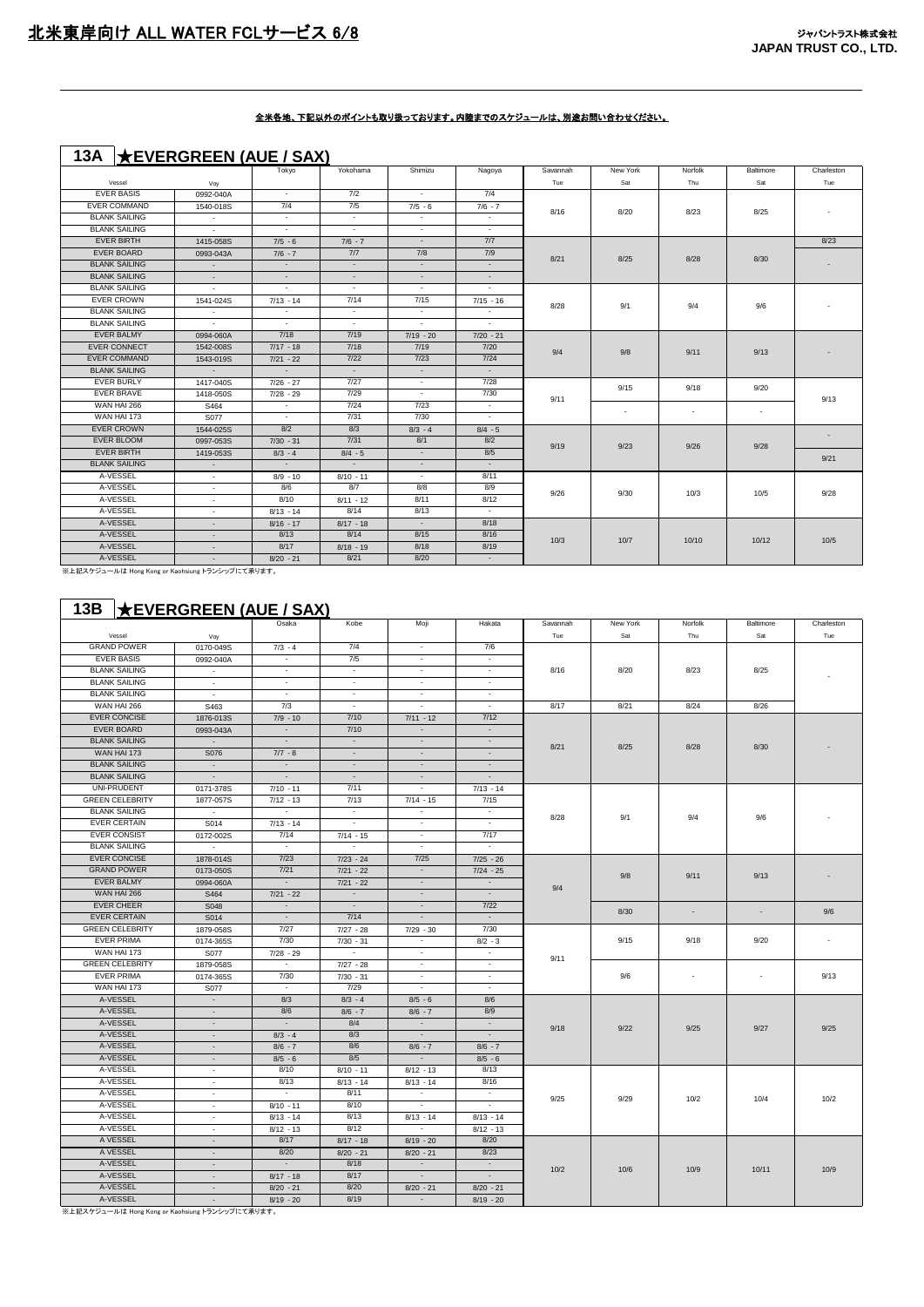## **13A** ★**EVERGREEN (AUE / SAX)**

|                                                 |            | Tokyo          | Yokohama    | Shimizu     | Nagoya      | Savannah | New York       | Norfolk | Baltimore | Charleston |
|-------------------------------------------------|------------|----------------|-------------|-------------|-------------|----------|----------------|---------|-----------|------------|
| Vessel                                          | Voy        |                |             |             |             | Tue      | Sat            | Thu     | Sat       | Tue        |
| <b>EVER BASIS</b>                               | 0992-040A  | $\sim$         | 7/2         | $\sim$      | 7/4         |          |                |         |           |            |
| <b>EVER COMMAND</b>                             | 1540-018S  | 7/4            | 7/5         | $7/5 - 6$   | $7/6 - 7$   | 8/16     | 8/20           | 8/23    | 8/25      |            |
| <b>BLANK SAILING</b>                            | $\sim$     | $\sim$         | $\sim$      | $\sim$      | $\sim$      |          |                |         |           |            |
| <b>BLANK SAILING</b>                            | $\sim$     | $\sim$         | $\sim$      | $\sim$      | $\sim$      |          |                |         |           |            |
| <b>EVER BIRTH</b>                               | 1415-058S  | $7/5 - 6$      | $7/6 - 7$   | $\sim$      | 7/7         |          |                |         |           | 8/23       |
| EVER BOARD                                      | 0993-043A  | $7/6 - 7$      | 7/7         | 7/8         | 7/9         | 8/21     | 8/25           | 8/28    | 8/30      |            |
| <b>BLANK SAILING</b>                            | $\sim$     | $\sim$         | $\sim$      | $\sim$      | $\sim$      |          |                |         |           |            |
| <b>BLANK SAILING</b>                            | $\sim$     | $\sim$         | ÷.          | $\sim$      | $\sim$      |          |                |         |           |            |
| <b>BLANK SAILING</b>                            | $\sim$     | $\sim$         | $\sim$      | $\sim$      | $\sim$      |          |                |         |           |            |
| <b>EVER CROWN</b>                               | 1541-024S  | $7/13 - 14$    | 7/14        | 7/15        | $7/15 - 16$ | 8/28     | 9/1            | 9/4     | 9/6       |            |
| <b>BLANK SAILING</b>                            | $\sim$     | $\sim$         | $\sim$      | $\sim$      | $\sim$      |          |                |         |           |            |
| <b>BLANK SAILING</b>                            | $\sim$     | $\sim$         | $\sim$      | $\sim$      | $\sim$      |          |                |         |           |            |
| <b>EVER BALMY</b>                               | 0994-060A  | 7/18           | 7/19        | $7/19 - 20$ | $7/20 - 21$ |          |                |         |           |            |
| <b>EVER CONNECT</b>                             | 1542-008S  | $7/17 - 18$    | 7/18        | 7/19        | 7/20        | 9/4      | 9/8            | 9/11    | 9/13      |            |
| <b>EVER COMMAND</b>                             | 1543-019S  | $7/21 - 22$    | 7/22        | 7/23        | 7/24        |          |                |         |           |            |
| <b>BLANK SAILING</b>                            | $\sim$ $-$ | $\sim$ $-$     | $\sim$      | $\sim$      | $\sim$      |          |                |         |           |            |
| <b>EVER BURLY</b>                               | 1417-040S  | $7/26 - 27$    | 7/27        | $\sim$      | 7/28        |          | 9/15<br>$\sim$ | 9/18    | 9/20      |            |
| <b>EVER BRAVE</b>                               | 1418-050S  | $7/28 - 29$    | 7/29        | $\sim$      | 7/30        | 9/11     |                |         |           | 9/13       |
| WAN HAI 266                                     | S464       | $\sim$         | 7/24        | 7/23        | $\sim$      |          |                | $\sim$  |           |            |
| WAN HAI 173                                     | S077       | $\sim$         | 7/31        | 7/30        | $\sim$      |          |                |         | $\sim$    |            |
| <b>EVER CROWN</b>                               | 1544-025S  | 8/2            | 8/3         | $8/3 - 4$   | $8/4 - 5$   |          |                |         |           |            |
| EVER BLOOM                                      | 0997-053S  | $7/30 - 31$    | 7/31        | 8/1         | 8/2         | 9/19     | 9/23           | 9/26    | 9/28      |            |
| <b>EVER BIRTH</b>                               | 1419-053S  | $8/3 - 4$      | $8/4 - 5$   | $\sim$      | 8/5         |          |                |         |           | 9/21       |
| <b>BLANK SAILING</b>                            | $\sim$     | $\sim 10^{-1}$ | $\sim$ $-$  | $\sim$      | $\sim$      |          |                |         |           |            |
| A-VESSEL                                        | $\sim$     | $8/9 - 10$     | $8/10 - 11$ | $\sim$      | 8/11        |          |                |         |           |            |
| A-VESSEL                                        | $\sim$     | 8/6            | 8/7         | 8/8         | 8/9         | 9/26     | 9/30           | 10/3    | 10/5      | 9/28       |
| A-VESSEL                                        | $\sim$     | 8/10           | $8/11 - 12$ | 8/11        | 8/12        |          |                |         |           |            |
| A-VESSEL                                        | $\sim$     | $8/13 - 14$    | 8/14        | 8/13        | $\sim$      |          |                |         |           |            |
| A-VESSEL                                        | $\sim$     | $8/16 - 17$    | $8/17 - 18$ | $\sim$      | 8/18        |          |                |         |           |            |
| A-VESSEL                                        | $\sim$     | 8/13           | 8/14        | 8/15        | 8/16        | 10/3     | 10/7           |         |           | 10/5       |
| A-VESSEL                                        |            | 8/17           | $8/18 - 19$ | 8/18        | 8/19        |          |                | 10/10   | 10/12     |            |
| A-VESSEL                                        | $\sim$     | $8/20 - 21$    | 8/21        | 8/20        | $\sim$      |          |                |         |           |            |
| ※上記スケジュールは Hong Kong or Kaohsiung トランシップにて承ります。 |            |                |             |             |             |          |                |         |           |            |

## **13B** ★**EVERGREEN (AUE / SAX)**

|                        |                          | Osaka                    | Kobe                     | Moji                     | Hakata                   | Savannah | New York    | Norfolk                  | Baltimore                | Charleston                       |
|------------------------|--------------------------|--------------------------|--------------------------|--------------------------|--------------------------|----------|-------------|--------------------------|--------------------------|----------------------------------|
| Vessel                 | Voy                      |                          |                          |                          |                          | Tue      | Sat         | Thu                      | Sat                      | Tue                              |
| <b>GRAND POWER</b>     | 0170-049S                | $7/3 - 4$                | 7/4                      | $\sim$                   | 7/6                      |          |             |                          |                          |                                  |
| <b>EVER BASIS</b>      | 0992-040A                | $\overline{\phantom{a}}$ | 7/5                      | $\sim$                   | ÷                        |          |             |                          |                          |                                  |
| <b>BLANK SAILING</b>   | $\sim$                   | $\sim$                   | $\sim$                   | $\sim$                   | $\overline{\phantom{a}}$ | 8/16     | 8/20        | 8/23                     | 8/25                     |                                  |
| <b>BLANK SAILING</b>   | $\sim$                   | $\overline{\phantom{a}}$ | $\overline{\phantom{a}}$ | $\overline{\phantom{a}}$ | ÷                        |          |             |                          |                          |                                  |
| <b>BLANK SAILING</b>   | $\sim$                   | $\sim$                   | $\sim$                   | $\sim$                   | $\sim$                   |          |             |                          |                          |                                  |
| WAN HAI 266            | S463                     | 7/3                      | $\sim$                   | $\sim$                   | $\sim$                   | 8/17     | 8/21        | 8/24                     | 8/26                     |                                  |
| <b>EVER CONCISE</b>    | 1876-013S                | $7/9 - 10$               | 7/10                     | $7/11 - 12$              | 7/12                     |          |             |                          |                          |                                  |
| <b>EVER BOARD</b>      | 0993-043A                | $\sim$                   | 7/10                     | $\sim$                   | $\sim$                   |          |             |                          |                          |                                  |
| <b>BLANK SAILING</b>   | $\sim$                   | $\sim$                   | $\sim$                   | $\sim$                   | $\sim$                   |          |             |                          |                          |                                  |
| WAN HAI 173            | S076                     | $7/7 - 8$                | $\sim$                   | $\sim$                   | $\sim$                   | 8/21     | 8/25        | 8/28                     | 8/30                     |                                  |
| <b>BLANK SAILING</b>   | $\sim$                   | $\sim$                   | $\sim$                   | $\sim$                   | $\sim$                   |          |             |                          |                          |                                  |
| <b>BLANK SAILING</b>   | $\sim$                   | $\sim$                   | $\sim$                   | $\sim$                   | $\sim$                   |          |             |                          |                          |                                  |
| UNI-PRUDENT            | 0171-378S                | $7/10 - 11$              | 7/11                     | $\sim$                   | $7/13 - 14$              |          |             |                          |                          |                                  |
| <b>GREEN CELEBRITY</b> | 1877-057S                | $7/12 - 13$              | 7/13                     | $7/14 - 15$              | 7/15                     |          |             |                          |                          |                                  |
| <b>BLANK SAILING</b>   | $\sim$                   | $\sim$                   | $\sim$                   | $\sim$                   | $\sim$                   |          |             |                          |                          |                                  |
| <b>EVER CERTAIN</b>    | S014                     | $7/13 - 14$              | $\overline{\phantom{a}}$ | $\overline{\phantom{a}}$ | $\overline{\phantom{a}}$ | 8/28     | 9/1         | 9/4                      | 9/6                      |                                  |
| <b>EVER CONSIST</b>    | 0172-002S                | 7/14                     | $7/14 - 15$              | $\sim$                   | 7/17                     |          |             |                          |                          |                                  |
| <b>BLANK SAILING</b>   | $\sim$                   | $\sim$                   | $\sim$                   | $\sim$                   | $\sim$                   |          |             |                          |                          |                                  |
| <b>EVER CONCISE</b>    | 1878-014S                | $7/23$                   | $7/23 - 24$              | $7/25$                   | $7/25 - 26$              |          |             |                          |                          |                                  |
| <b>GRAND POWER</b>     | 0173-050S                | 7/21                     | $7/21 - 22$              | $\sim$                   | $7/24 - 25$              |          |             |                          |                          |                                  |
| <b>EVER BALMY</b>      | 0994-060A                | $\sim$                   | $7/21 - 22$              | $\sim$                   | $\sim$                   |          | 9/8         | 9/11                     | 9/13                     |                                  |
| WAN HAI 266            | S464                     | $7/21 - 22$              | $\sim$                   | $\sim$                   | $\sim$                   | 9/4      |             |                          |                          |                                  |
| <b>EVER CHEER</b>      | S048                     | $\sim$                   | $\sim$                   | $\sim$                   | $7/22$                   |          |             |                          |                          |                                  |
| <b>EVER CERTAIN</b>    | S014                     | $\sim$                   | 7/14                     | $\sim$                   | $\sim$                   |          | 8/30        | $\sim$                   | ÷                        | 9/6                              |
| <b>GREEN CELEBRITY</b> | 1879-058S                | 7/27                     | $7/27 - 28$              | $7/29 - 30$              | 7/30                     |          |             |                          |                          |                                  |
| <b>EVER PRIMA</b>      | 0174-365S                | 7/30                     | $7/30 - 31$              | $\sim$                   | $8/2 - 3$                |          | 9/15<br>9/6 | 9/18                     | 9/20                     | $\overline{\phantom{a}}$<br>9/13 |
| WAN HAI 173            | S077                     | $7/28 - 29$              | $\sim$                   | $\sim$                   | $\sim$                   |          |             |                          |                          |                                  |
| <b>GREEN CELEBRITY</b> | 1879-058S                | $\sim$                   | $7/27 - 28$              | $\sim$                   | ÷                        | 9/11     |             |                          |                          |                                  |
| <b>EVER PRIMA</b>      | 0174-365S                | 7/30                     | $7/30 - 31$              | $\sim$                   | $\sim$                   |          |             | $\overline{\phantom{a}}$ | $\overline{\phantom{a}}$ |                                  |
| WAN HAI 173            | S077                     | $\sim$                   | 7/29                     | $\sim$                   | $\overline{\phantom{a}}$ |          |             |                          |                          |                                  |
| A-VESSEL               | $\sim$                   | 8/3                      | $8/3 - 4$                | $8/5 - 6$                | 8/6                      |          |             |                          |                          |                                  |
| A-VESSEL               | $\overline{\phantom{a}}$ | 8/6                      | $8/6 - 7$                | $8/6 - 7$                | 8/9                      |          |             |                          |                          |                                  |
| A-VESSEL               | $\sim$                   | $\sim$                   | 8/4                      | $\sim$                   | $\sim$                   |          |             |                          |                          |                                  |
| A-VESSEL               | $\overline{\phantom{a}}$ | $8/3 - 4$                | 8/3                      | $\sim$                   | $\sim$                   | 9/18     | 9/22        | 9/25                     | 9/27                     | 9/25                             |
| A-VESSEL               | $\sim$                   | $8/6 - 7$                | 8/6                      | $8/6 - 7$                | $8/6 - 7$                |          |             |                          |                          |                                  |
| A-VESSEL               | $\sim$                   | $8/5 - 6$                | 8/5                      | $\sim$                   | $8/5 - 6$                |          |             |                          |                          |                                  |
| A-VESSEL               | $\sim$                   | 8/10                     | $8/10 - 11$              | $8/12 - 13$              | 8/13                     |          |             |                          |                          |                                  |
| A-VESSEL               | $\overline{\phantom{a}}$ | 8/13                     | $8/13 - 14$              | $8/13 - 14$              | 8/16                     |          |             |                          |                          |                                  |
| A-VESSEL               | $\sim$                   | $\sim$                   | 8/11                     | $\sim$                   | $\sim$                   |          |             |                          |                          |                                  |
| A-VESSEL               | $\sim$                   | $8/10 - 11$              | 8/10                     | $\sim$                   | $\sim$                   | 9/25     | 9/29        | 10/2                     | 10/4                     | 10/2                             |
| A-VESSEL               | $\sim$                   | $8/13 - 14$              | 8/13                     | $8/13 - 14$              | $8/13 - 14$              |          |             |                          |                          |                                  |
| A-VESSEL               | $\sim$                   | $8/12 - 13$              | 8/12                     | $\sim$                   | $8/12 - 13$              |          |             |                          |                          |                                  |
| A VESSEL               | $\sim$                   | 8/17                     | $8/17 - 18$              | $8/19 - 20$              | 8/20                     |          |             |                          |                          |                                  |
| A VESSEL               | $\sim$                   | 8/20                     | $8/20 - 21$              | $8/20 - 21$              | 8/23                     |          |             |                          |                          |                                  |
| A-VESSEL               | $\sim$                   | $\sim$                   | 8/18                     | $\sim$                   | $\sim$                   |          |             |                          |                          |                                  |
| A-VESSEL               | $\blacksquare$           | $8/17 - 18$              | 8/17                     | $\sim$                   | $\sim$                   | 10/2     | 10/6        | 10/9                     | 10/11                    | 10/9                             |
| A-VESSEL               | $\sim$                   | $8/20 - 21$              | 8/20                     | $8/20 - 21$              | $8/20 - 21$              |          |             |                          |                          |                                  |
| A-VESSEL               | $\sim$                   | $8/19 - 20$              | 8/19                     | $\sim$                   | $8/19 - 20$              |          |             |                          |                          |                                  |

。<br>※上記スケジュールは Hong Kong or Kaohsiung トランシップにて承ります。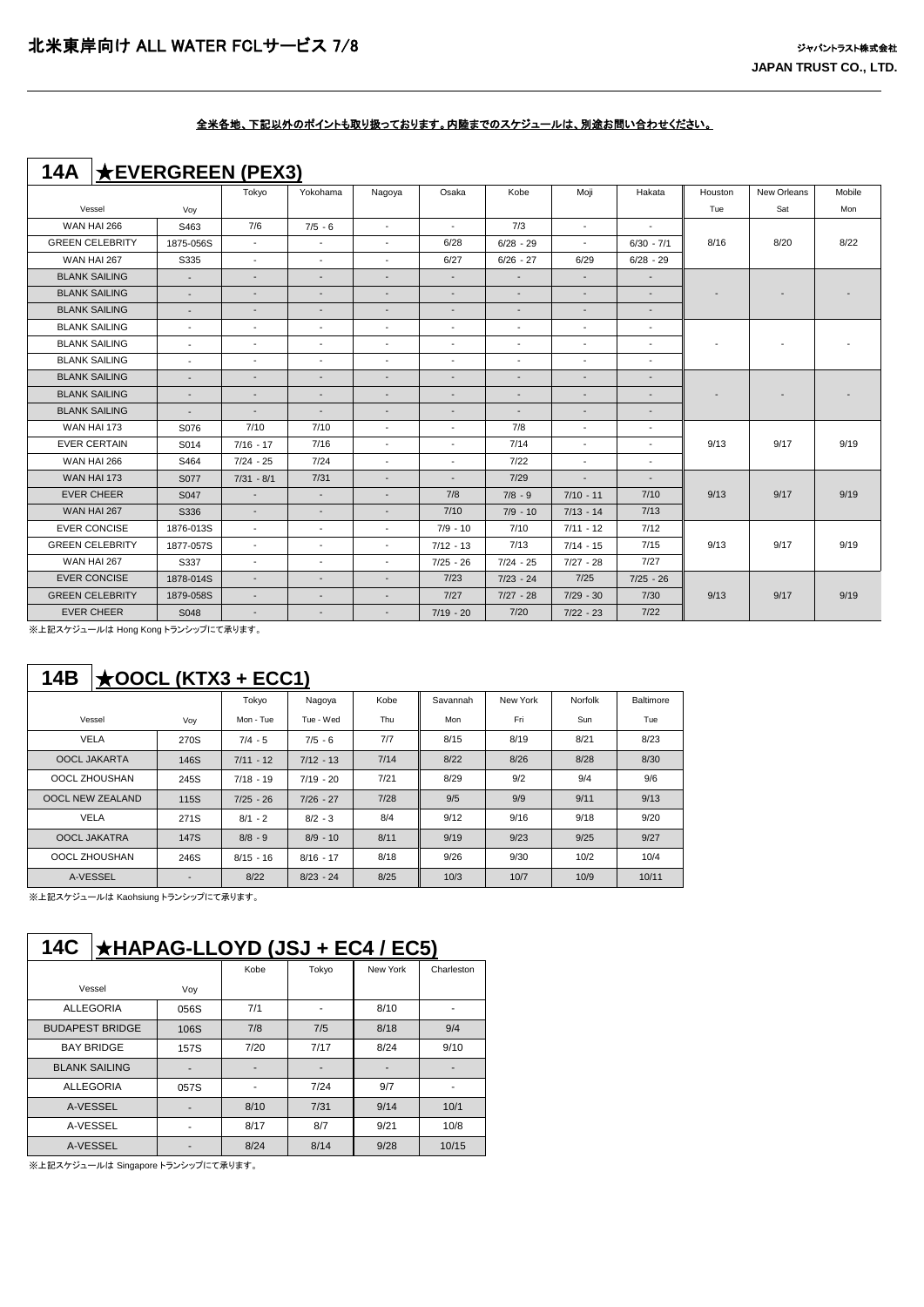## **14A** ★**EVERGREEN (PEX3)**

|                        |                          | Tokyo                    | Yokohama                 | Nagoya                   | Osaka                    | Kobe                     | Moji                     | Hakata                   | Houston | New Orleans | Mobile |
|------------------------|--------------------------|--------------------------|--------------------------|--------------------------|--------------------------|--------------------------|--------------------------|--------------------------|---------|-------------|--------|
| Vessel                 | Voy                      |                          |                          |                          |                          |                          |                          |                          | Tue     | Sat         | Mon    |
| <b>WAN HAI 266</b>     | S463                     | 7/6                      | $7/5 - 6$                | $\overline{\phantom{a}}$ | $\overline{\phantom{a}}$ | 7/3                      | $\overline{\phantom{a}}$ | $\overline{\phantom{a}}$ |         |             |        |
| <b>GREEN CELEBRITY</b> | 1875-056S                | $\overline{\phantom{a}}$ | $\overline{\phantom{a}}$ | $\blacksquare$           | 6/28                     | $6/28 - 29$              | $\overline{\phantom{a}}$ | $6/30 - 7/1$             | 8/16    | 8/20        | 8/22   |
| WAN HAI 267            | S335                     | $\sim$                   | $\overline{\phantom{a}}$ | $\blacksquare$           | 6/27                     | $6/26 - 27$              | 6/29                     | $6/28 - 29$              |         |             |        |
| <b>BLANK SAILING</b>   | $\sim$                   | $\blacksquare$           | $\overline{\phantom{a}}$ | $\overline{a}$           | $\blacksquare$           | $\blacksquare$           | $\overline{\phantom{a}}$ | $\blacksquare$           |         |             |        |
| <b>BLANK SAILING</b>   | $\overline{\phantom{a}}$ | $\overline{\phantom{a}}$ | $\overline{\phantom{a}}$ | $\overline{\phantom{a}}$ | $\overline{\phantom{a}}$ | $\sim$                   | $\overline{\phantom{a}}$ | $\overline{\phantom{a}}$ |         |             |        |
| <b>BLANK SAILING</b>   | $\sim$                   | $\overline{\phantom{a}}$ | $\overline{\phantom{a}}$ | $\overline{\phantom{a}}$ | $\overline{\phantom{a}}$ | $\overline{\phantom{a}}$ | $\overline{\phantom{a}}$ | $\overline{\phantom{a}}$ |         |             |        |
| <b>BLANK SAILING</b>   | $\overline{\phantom{a}}$ | $\overline{\phantom{a}}$ | $\blacksquare$           | $\blacksquare$           | $\overline{\phantom{a}}$ | $\overline{\phantom{a}}$ | $\overline{\phantom{a}}$ | $\overline{\phantom{a}}$ |         |             |        |
| <b>BLANK SAILING</b>   | $\overline{\phantom{a}}$ | $\overline{\phantom{a}}$ | $\blacksquare$           | $\blacksquare$           | $\overline{\phantom{a}}$ | $\overline{\phantom{a}}$ | $\overline{\phantom{a}}$ | $\overline{\phantom{a}}$ |         |             |        |
| <b>BLANK SAILING</b>   | $\blacksquare$           | $\overline{\phantom{a}}$ | $\blacksquare$           | $\blacksquare$           | $\overline{\phantom{a}}$ | $\overline{\phantom{a}}$ | $\overline{\phantom{a}}$ | $\overline{\phantom{a}}$ |         |             |        |
| <b>BLANK SAILING</b>   | $\blacksquare$           | $\overline{\phantom{a}}$ | $\overline{\phantom{a}}$ | $\overline{\phantom{a}}$ | $\blacksquare$           | $\overline{\phantom{a}}$ | $\overline{\phantom{a}}$ | $\overline{\phantom{a}}$ |         |             |        |
| <b>BLANK SAILING</b>   | $\overline{\phantom{a}}$ | $\overline{\phantom{a}}$ | $\overline{\phantom{a}}$ | $\overline{\phantom{a}}$ | $\overline{\phantom{a}}$ | $\overline{\phantom{a}}$ | $\overline{\phantom{a}}$ | $\overline{\phantom{a}}$ |         |             |        |
| <b>BLANK SAILING</b>   | $\blacksquare$           | $\sim$                   | $\overline{\phantom{a}}$ | $\overline{\phantom{a}}$ | $\overline{\phantom{a}}$ | $\sim$                   | $\overline{\phantom{a}}$ | $\overline{\phantom{a}}$ |         |             |        |
| WAN HAI 173            | S076                     | 7/10                     | 7/10                     | $\overline{a}$           | $\overline{a}$           | 7/8                      | $\overline{\phantom{a}}$ | $\overline{\phantom{a}}$ |         |             |        |
| <b>EVER CERTAIN</b>    | S014                     | $7/16 - 17$              | 7/16                     | $\overline{\phantom{a}}$ | $\overline{\phantom{a}}$ | 7/14                     | $\overline{\phantom{a}}$ | $\overline{\phantom{a}}$ | 9/13    | 9/17        | 9/19   |
| <b>WAN HAI 266</b>     | S464                     | $7/24 - 25$              | 7/24                     | $\blacksquare$           | $\overline{\phantom{a}}$ | 7/22                     | $\overline{\phantom{a}}$ | $\overline{\phantom{a}}$ |         |             |        |
| WAN HAI 173            | S077                     | $7/31 - 8/1$             | 7/31                     | $\overline{\phantom{a}}$ | $\overline{\phantom{a}}$ | 7/29                     | $\overline{\phantom{a}}$ | $\overline{\phantom{a}}$ |         |             |        |
| <b>EVER CHEER</b>      | S047                     | $\blacksquare$           | $\sim$                   | $\blacksquare$           | 7/8                      | $7/8 - 9$                | $7/10 - 11$              | 7/10                     | 9/13    | 9/17        | 9/19   |
| WAN HAI 267            | S336                     | $\overline{\phantom{a}}$ | $\overline{\phantom{a}}$ | $\overline{\phantom{a}}$ | 7/10                     | $7/9 - 10$               | $7/13 - 14$              | 7/13                     |         |             |        |
| <b>EVER CONCISE</b>    | 1876-013S                | $\sim$                   | $\overline{\phantom{a}}$ | $\blacksquare$           | $7/9 - 10$               | 7/10                     | $7/11 - 12$              | 7/12                     |         |             |        |
| <b>GREEN CELEBRITY</b> | 1877-057S                | $\overline{\phantom{a}}$ | $\overline{\phantom{a}}$ | $\overline{\phantom{a}}$ | $7/12 - 13$              | 7/13                     | $7/14 - 15$              | 7/15                     | 9/13    | 9/17        | 9/19   |
| WAN HAI 267            | S337                     | $\overline{\phantom{a}}$ | $\blacksquare$           | $\overline{\phantom{a}}$ | $7/25 - 26$              | $7/24 - 25$              | $7/27 - 28$              | 7/27                     |         |             |        |
| <b>EVER CONCISE</b>    | 1878-014S                | $\overline{\phantom{a}}$ | $\overline{\phantom{a}}$ | $\overline{\phantom{0}}$ | 7/23                     | $7/23 - 24$              | 7/25                     | $7/25 - 26$              |         |             |        |
| <b>GREEN CELEBRITY</b> | 1879-058S                | $\overline{\phantom{a}}$ | $\overline{\phantom{a}}$ | $\overline{\phantom{a}}$ | 7/27                     | $7/27 - 28$              | $7/29 - 30$              | 7/30                     | 9/13    | 9/17        | 9/19   |
| <b>EVER CHEER</b>      | S048                     | $\overline{\phantom{a}}$ | $\overline{\phantom{a}}$ | $\overline{\phantom{0}}$ | $7/19 - 20$              | 7/20                     | $7/22 - 23$              | $7/22$                   |         |             |        |

※上記スケジュールは Hong Kong トランシップにて承ります。

## **14B** ★**OOCL (KTX3 + ECC1)**

|                         |                          | Tokyo       | Nagoya      | Kobe | Savannah | New York | Norfolk | Baltimore |
|-------------------------|--------------------------|-------------|-------------|------|----------|----------|---------|-----------|
| Vessel                  | Voy                      | Mon - Tue   | Tue - Wed   | Thu  | Mon      | Fri      | Sun     | Tue       |
| <b>VELA</b>             | 270S                     | $7/4 - 5$   | $7/5 - 6$   | 7/7  | 8/15     | 8/19     | 8/21    | 8/23      |
| OOCL JAKARTA            | 146S                     | $7/11 - 12$ | $7/12 - 13$ | 7/14 | 8/22     | 8/26     | 8/28    | 8/30      |
| OOCL ZHOUSHAN           | 245S                     | $7/18 - 19$ | $7/19 - 20$ | 7/21 | 8/29     | 9/2      | 9/4     | 9/6       |
| <b>OOCL NEW ZEALAND</b> | 115S                     | $7/25 - 26$ | $7/26 - 27$ | 7/28 | 9/5      | 9/9      | 9/11    | 9/13      |
| <b>VELA</b>             | 271S                     | $8/1 - 2$   | $8/2 - 3$   | 8/4  | 9/12     | 9/16     | 9/18    | 9/20      |
| <b>OOCL JAKATRA</b>     | 147S                     | $8/8 - 9$   | $8/9 - 10$  | 8/11 | 9/19     | 9/23     | 9/25    | 9/27      |
| OOCL ZHOUSHAN           | 246S                     | $8/15 - 16$ | $8/16 - 17$ | 8/18 | 9/26     | 9/30     | 10/2    | 10/4      |
| A-VESSEL                | $\overline{\phantom{a}}$ | 8/22        | $8/23 - 24$ | 8/25 | 10/3     | 10/7     | 10/9    | 10/11     |

※上記スケジュールは Kaohsiung トランシップにて承ります。

# **14C** ★**HAPAG-LLOYD (JSJ + EC4 / EC5)**

|                        |      | Kobe | Tokyo | New York | Charleston |
|------------------------|------|------|-------|----------|------------|
| Vessel                 | Voy  |      |       |          |            |
| <b>ALLEGORIA</b>       | 056S | 7/1  |       | 8/10     |            |
| <b>BUDAPEST BRIDGE</b> | 106S | 7/8  | 7/5   | 8/18     | 9/4        |
| <b>BAY BRIDGE</b>      | 157S | 7/20 | 7/17  | 8/24     | 9/10       |
| <b>BLANK SAILING</b>   |      |      |       |          |            |
| <b>ALLEGORIA</b>       | 057S | ۰    | 7/24  | 9/7      | ۰          |
| A-VESSEL               |      | 8/10 | 7/31  | 9/14     | 10/1       |
| A-VESSEL               |      | 8/17 | 8/7   | 9/21     | 10/8       |
| A-VESSEL               |      | 8/24 | 8/14  | 9/28     | 10/15      |

※上記スケジュールは Singapore トランシップにて承ります。